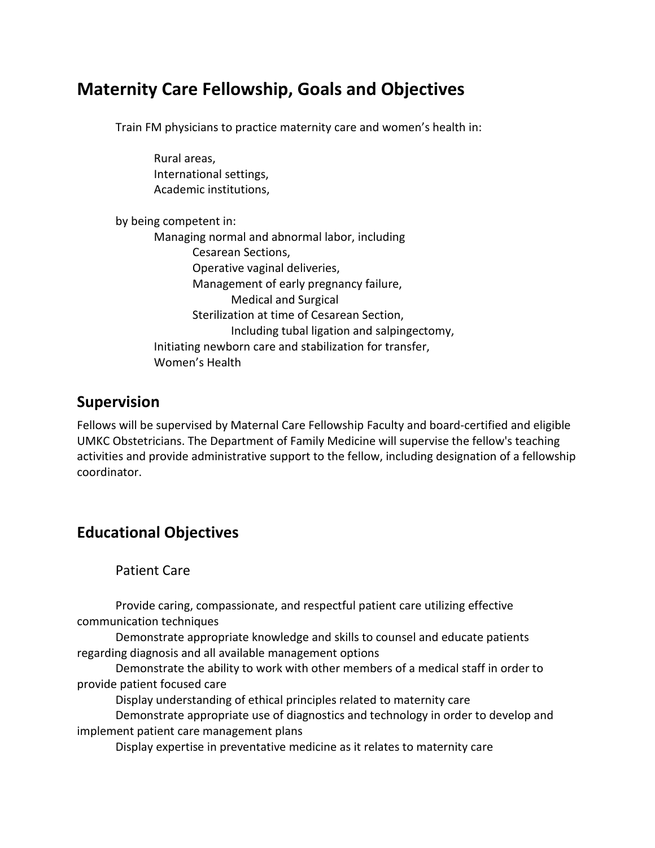# **Maternity Care Fellowship, Goals and Objectives**

Train FM physicians to practice maternity care and women's health in:

| Rural areas,                                            |
|---------------------------------------------------------|
| International settings,                                 |
| Academic institutions,                                  |
| by being competent in:                                  |
| Managing normal and abnormal labor, including           |
| Cesarean Sections,                                      |
| Operative vaginal deliveries,                           |
| Management of early pregnancy failure,                  |
| <b>Medical and Surgical</b>                             |
| Sterilization at time of Cesarean Section,              |
| Including tubal ligation and salpingectomy,             |
| Initiating newborn care and stabilization for transfer, |
| Women's Health                                          |
|                                                         |

## **Supervision**

Fellows will be supervised by Maternal Care Fellowship Faculty and board-certified and eligible UMKC Obstetricians. The Department of Family Medicine will supervise the fellow's teaching activities and provide administrative support to the fellow, including designation of a fellowship coordinator.

# **Educational Objectives**

Patient Care

Provide caring, compassionate, and respectful patient care utilizing effective communication techniques

Demonstrate appropriate knowledge and skills to counsel and educate patients regarding diagnosis and all available management options

Demonstrate the ability to work with other members of a medical staff in order to provide patient focused care

Display understanding of ethical principles related to maternity care

Demonstrate appropriate use of diagnostics and technology in order to develop and implement patient care management plans

Display expertise in preventative medicine as it relates to maternity care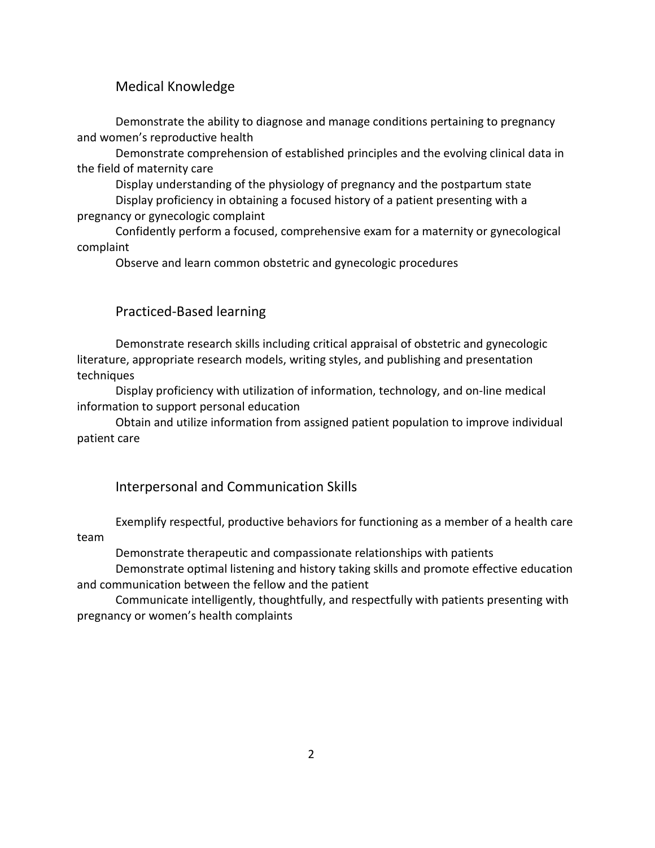### Medical Knowledge

Demonstrate the ability to diagnose and manage conditions pertaining to pregnancy and women's reproductive health

Demonstrate comprehension of established principles and the evolving clinical data in the field of maternity care

Display understanding of the physiology of pregnancy and the postpartum state Display proficiency in obtaining a focused history of a patient presenting with a pregnancy or gynecologic complaint

Confidently perform a focused, comprehensive exam for a maternity or gynecological complaint

Observe and learn common obstetric and gynecologic procedures

### Practiced-Based learning

Demonstrate research skills including critical appraisal of obstetric and gynecologic literature, appropriate research models, writing styles, and publishing and presentation techniques

Display proficiency with utilization of information, technology, and on-line medical information to support personal education

Obtain and utilize information from assigned patient population to improve individual patient care

### Interpersonal and Communication Skills

Exemplify respectful, productive behaviors for functioning as a member of a health care team

Demonstrate therapeutic and compassionate relationships with patients

Demonstrate optimal listening and history taking skills and promote effective education and communication between the fellow and the patient

Communicate intelligently, thoughtfully, and respectfully with patients presenting with pregnancy or women's health complaints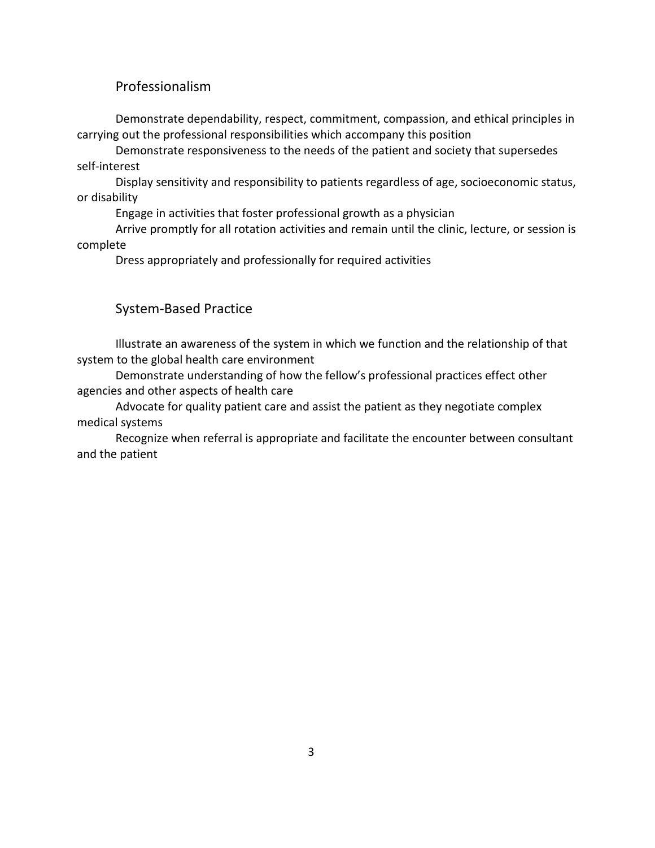### Professionalism

Demonstrate dependability, respect, commitment, compassion, and ethical principles in carrying out the professional responsibilities which accompany this position

Demonstrate responsiveness to the needs of the patient and society that supersedes self-interest

Display sensitivity and responsibility to patients regardless of age, socioeconomic status, or disability

Engage in activities that foster professional growth as a physician

Arrive promptly for all rotation activities and remain until the clinic, lecture, or session is complete

Dress appropriately and professionally for required activities

### System-Based Practice

Illustrate an awareness of the system in which we function and the relationship of that system to the global health care environment

Demonstrate understanding of how the fellow's professional practices effect other agencies and other aspects of health care

Advocate for quality patient care and assist the patient as they negotiate complex medical systems

Recognize when referral is appropriate and facilitate the encounter between consultant and the patient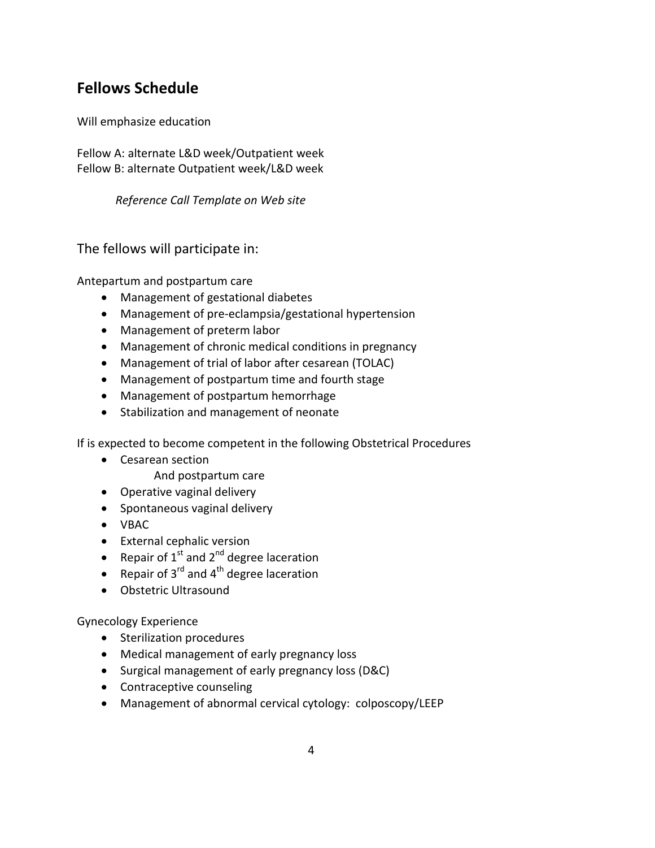# **Fellows Schedule**

Will emphasize education

Fellow A: alternate L&D week/Outpatient week Fellow B: alternate Outpatient week/L&D week

*Reference Call Template on Web site* 

The fellows will participate in:

Antepartum and postpartum care

- Management of gestational diabetes
- Management of pre-eclampsia/gestational hypertension
- Management of preterm labor
- Management of chronic medical conditions in pregnancy
- Management of trial of labor after cesarean (TOLAC)
- Management of postpartum time and fourth stage
- Management of postpartum hemorrhage
- Stabilization and management of neonate

If is expected to become competent in the following Obstetrical Procedures

- Cesarean section
	- And postpartum care
- Operative vaginal delivery
- Spontaneous vaginal delivery
- VBAC
- External cephalic version
- Repair of  $1^{st}$  and  $2^{nd}$  degree laceration
- Repair of  $3^{rd}$  and  $4^{th}$  degree laceration
- Obstetric Ultrasound

Gynecology Experience

- Sterilization procedures
- Medical management of early pregnancy loss
- Surgical management of early pregnancy loss (D&C)
- Contraceptive counseling
- Management of abnormal cervical cytology: colposcopy/LEEP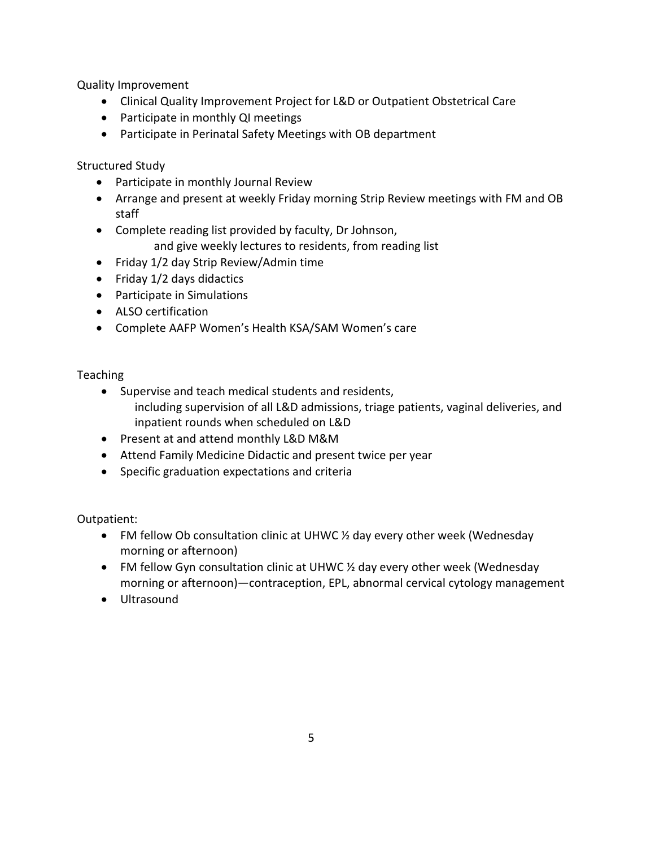Quality Improvement

- Clinical Quality Improvement Project for L&D or Outpatient Obstetrical Care
- Participate in monthly QI meetings
- Participate in Perinatal Safety Meetings with OB department

Structured Study

- Participate in monthly Journal Review
- Arrange and present at weekly Friday morning Strip Review meetings with FM and OB staff
- Complete reading list provided by faculty, Dr Johnson, and give weekly lectures to residents, from reading list
- Friday 1/2 day Strip Review/Admin time
- Friday 1/2 days didactics
- Participate in Simulations
- ALSO certification
- Complete AAFP Women's Health KSA/SAM Women's care

### Teaching

- Supervise and teach medical students and residents, including supervision of all L&D admissions, triage patients, vaginal deliveries, and inpatient rounds when scheduled on L&D
- Present at and attend monthly L&D M&M
- Attend Family Medicine Didactic and present twice per year
- Specific graduation expectations and criteria

Outpatient:

- FM fellow Ob consultation clinic at UHWC 1/2 day every other week (Wednesday morning or afternoon)
- FM fellow Gyn consultation clinic at UHWC  $\frac{1}{2}$  day every other week (Wednesday morning or afternoon)—contraception, EPL, abnormal cervical cytology management
- Ultrasound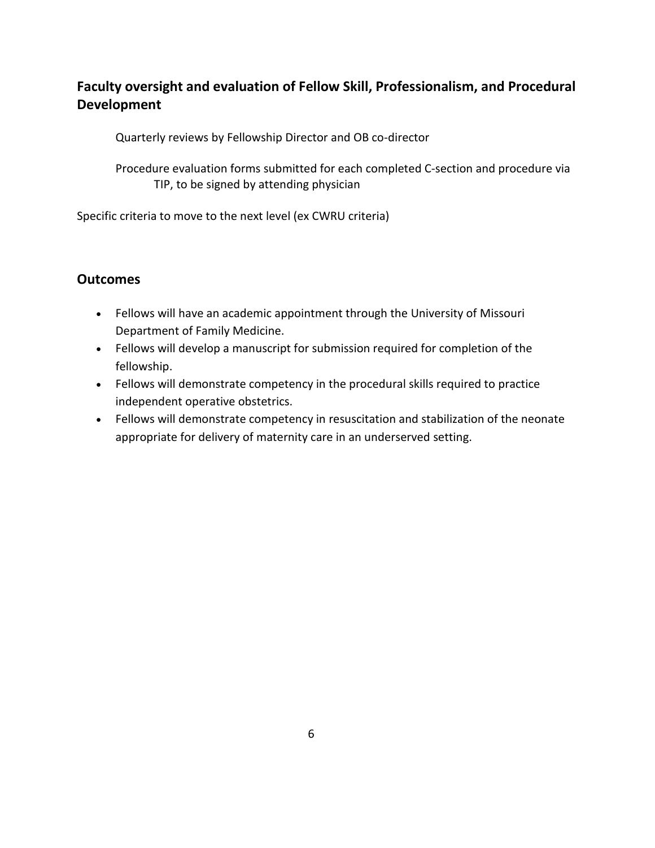## **Faculty oversight and evaluation of Fellow Skill, Professionalism, and Procedural Development**

Quarterly reviews by Fellowship Director and OB co-director

Procedure evaluation forms submitted for each completed C-section and procedure via TIP, to be signed by attending physician

Specific criteria to move to the next level (ex CWRU criteria)

### **Outcomes**

- Fellows will have an academic appointment through the University of Missouri Department of Family Medicine.
- Fellows will develop a manuscript for submission required for completion of the fellowship.
- Fellows will demonstrate competency in the procedural skills required to practice independent operative obstetrics.
- Fellows will demonstrate competency in resuscitation and stabilization of the neonate appropriate for delivery of maternity care in an underserved setting.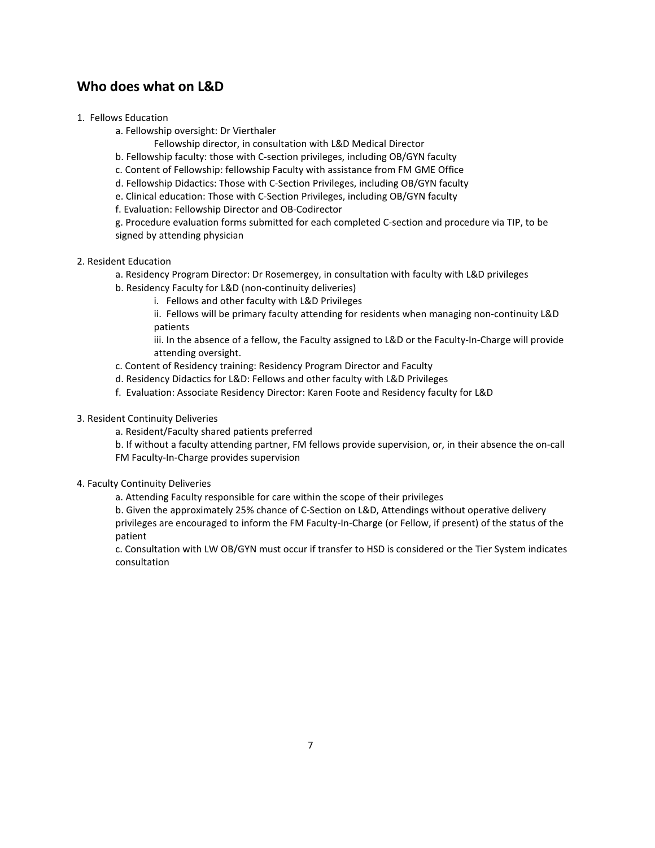### **Who does what on L&D**

- 1. Fellows Education
	- a. Fellowship oversight: Dr Vierthaler
		- Fellowship director, in consultation with L&D Medical Director
	- b. Fellowship faculty: those with C-section privileges, including OB/GYN faculty
	- c. Content of Fellowship: fellowship Faculty with assistance from FM GME Office
	- d. Fellowship Didactics: Those with C-Section Privileges, including OB/GYN faculty
	- e. Clinical education: Those with C-Section Privileges, including OB/GYN faculty
	- f. Evaluation: Fellowship Director and OB-Codirector

g. Procedure evaluation forms submitted for each completed C-section and procedure via TIP, to be signed by attending physician

- 2. Resident Education
	- a. Residency Program Director: Dr Rosemergey, in consultation with faculty with L&D privileges
	- b. Residency Faculty for L&D (non-continuity deliveries)
		- i. Fellows and other faculty with L&D Privileges
		- ii. Fellows will be primary faculty attending for residents when managing non-continuity L&D patients

iii. In the absence of a fellow, the Faculty assigned to L&D or the Faculty-In-Charge will provide attending oversight.

- c. Content of Residency training: Residency Program Director and Faculty
- d. Residency Didactics for L&D: Fellows and other faculty with L&D Privileges
- f. Evaluation: Associate Residency Director: Karen Foote and Residency faculty for L&D
- 3. Resident Continuity Deliveries
	- a. Resident/Faculty shared patients preferred

b. If without a faculty attending partner, FM fellows provide supervision, or, in their absence the on-call FM Faculty-In-Charge provides supervision

#### 4. Faculty Continuity Deliveries

a. Attending Faculty responsible for care within the scope of their privileges

b. Given the approximately 25% chance of C-Section on L&D, Attendings without operative delivery privileges are encouraged to inform the FM Faculty-In-Charge (or Fellow, if present) of the status of the patient

c. Consultation with LW OB/GYN must occur if transfer to HSD is considered or the Tier System indicates consultation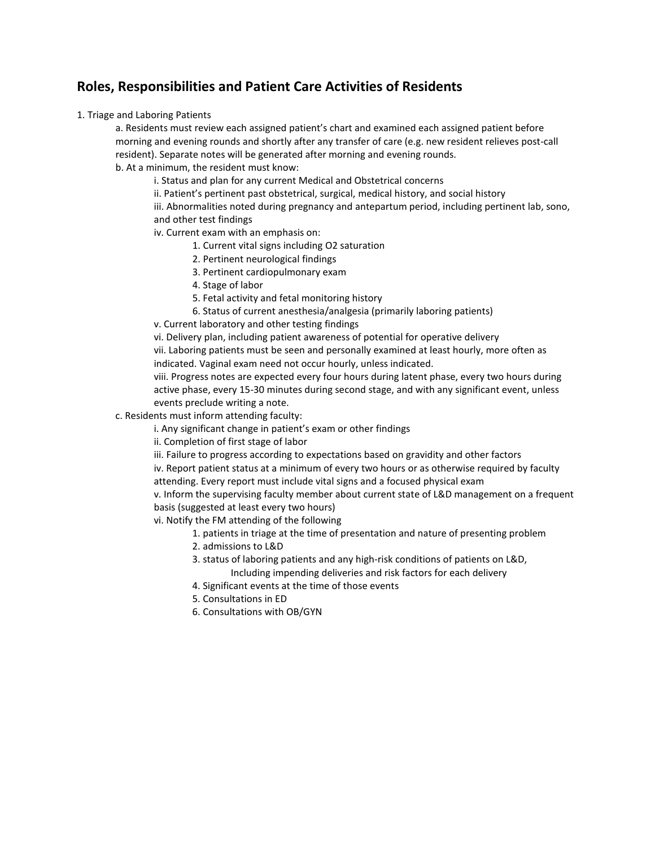### **Roles, Responsibilities and Patient Care Activities of Residents**

1. Triage and Laboring Patients

a. Residents must review each assigned patient's chart and examined each assigned patient before morning and evening rounds and shortly after any transfer of care (e.g. new resident relieves post-call resident). Separate notes will be generated after morning and evening rounds.

b. At a minimum, the resident must know:

i. Status and plan for any current Medical and Obstetrical concerns

ii. Patient's pertinent past obstetrical, surgical, medical history, and social history

iii. Abnormalities noted during pregnancy and antepartum period, including pertinent lab, sono, and other test findings

iv. Current exam with an emphasis on:

- 1. Current vital signs including O2 saturation
- 2. Pertinent neurological findings
- 3. Pertinent cardiopulmonary exam
- 4. Stage of labor
- 5. Fetal activity and fetal monitoring history
- 6. Status of current anesthesia/analgesia (primarily laboring patients)
- v. Current laboratory and other testing findings

vi. Delivery plan, including patient awareness of potential for operative delivery

vii. Laboring patients must be seen and personally examined at least hourly, more often as indicated. Vaginal exam need not occur hourly, unless indicated.

viii. Progress notes are expected every four hours during latent phase, every two hours during active phase, every 15-30 minutes during second stage, and with any significant event, unless events preclude writing a note.

c. Residents must inform attending faculty:

i. Any significant change in patient's exam or other findings

- ii. Completion of first stage of labor
- iii. Failure to progress according to expectations based on gravidity and other factors

iv. Report patient status at a minimum of every two hours or as otherwise required by faculty attending. Every report must include vital signs and a focused physical exam

v. Inform the supervising faculty member about current state of L&D management on a frequent basis (suggested at least every two hours)

vi. Notify the FM attending of the following

- 1. patients in triage at the time of presentation and nature of presenting problem
- 2. admissions to L&D
- 3. status of laboring patients and any high-risk conditions of patients on L&D,
	- Including impending deliveries and risk factors for each delivery
- 4. Significant events at the time of those events
- 5. Consultations in ED
- 6. Consultations with OB/GYN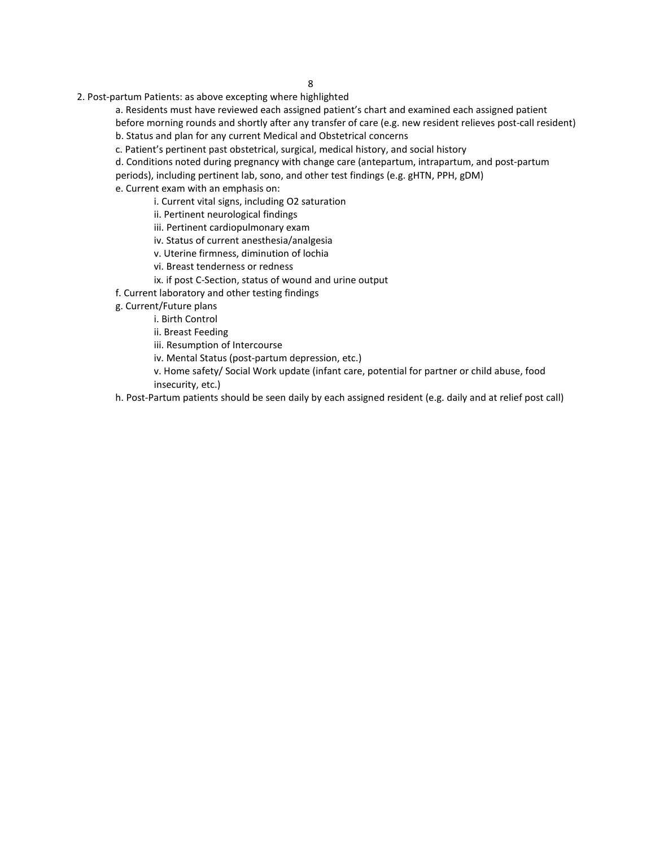2. Post-partum Patients: as above excepting where highlighted

a. Residents must have reviewed each assigned patient's chart and examined each assigned patient

before morning rounds and shortly after any transfer of care (e.g. new resident relieves post-call resident) b. Status and plan for any current Medical and Obstetrical concerns

c. Patient's pertinent past obstetrical, surgical, medical history, and social history

d. Conditions noted during pregnancy with change care (antepartum, intrapartum, and post-partum periods), including pertinent lab, sono, and other test findings (e.g. gHTN, PPH, gDM)

e. Current exam with an emphasis on:

i. Current vital signs, including O2 saturation

ii. Pertinent neurological findings

iii. Pertinent cardiopulmonary exam

iv. Status of current anesthesia/analgesia

v. Uterine firmness, diminution of lochia

vi. Breast tenderness or redness

ix. if post C-Section, status of wound and urine output

f. Current laboratory and other testing findings

g. Current/Future plans

i. Birth Control

ii. Breast Feeding

iii. Resumption of Intercourse

iv. Mental Status (post-partum depression, etc.)

v. Home safety/ Social Work update (infant care, potential for partner or child abuse, food insecurity, etc.)

h. Post-Partum patients should be seen daily by each assigned resident (e.g. daily and at relief post call)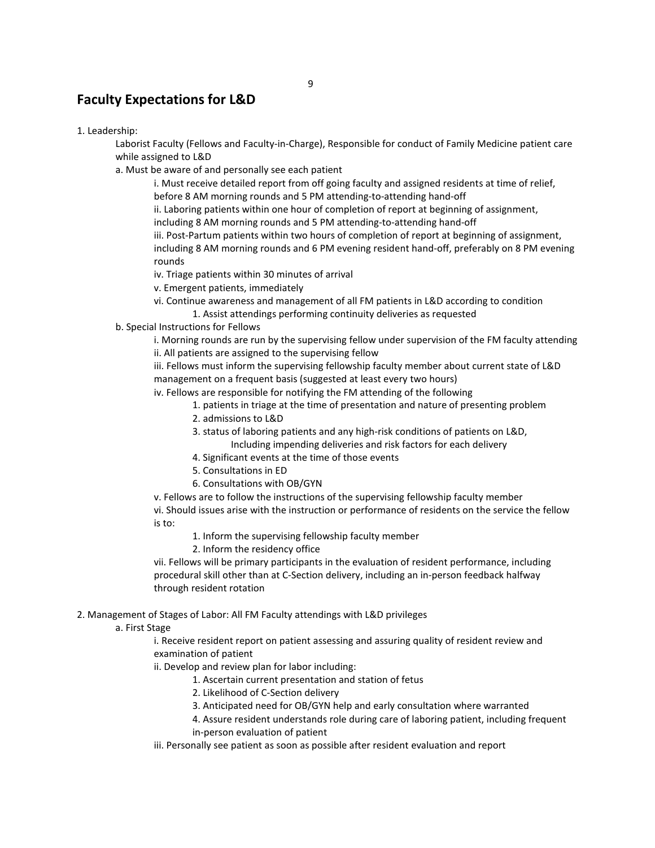### **Faculty Expectations for L&D**

1. Leadership:

Laborist Faculty (Fellows and Faculty-in-Charge), Responsible for conduct of Family Medicine patient care while assigned to L&D

a. Must be aware of and personally see each patient

i. Must receive detailed report from off going faculty and assigned residents at time of relief, before 8 AM morning rounds and 5 PM attending-to-attending hand-off

ii. Laboring patients within one hour of completion of report at beginning of assignment, including 8 AM morning rounds and 5 PM attending-to-attending hand-off

iii. Post-Partum patients within two hours of completion of report at beginning of assignment, including 8 AM morning rounds and 6 PM evening resident hand-off, preferably on 8 PM evening rounds

iv. Triage patients within 30 minutes of arrival

v. Emergent patients, immediately

vi. Continue awareness and management of all FM patients in L&D according to condition 1. Assist attendings performing continuity deliveries as requested

b. Special Instructions for Fellows

i. Morning rounds are run by the supervising fellow under supervision of the FM faculty attending ii. All patients are assigned to the supervising fellow

iii. Fellows must inform the supervising fellowship faculty member about current state of L&D management on a frequent basis (suggested at least every two hours)

iv. Fellows are responsible for notifying the FM attending of the following

1. patients in triage at the time of presentation and nature of presenting problem

- 2. admissions to L&D
- 3. status of laboring patients and any high-risk conditions of patients on L&D, Including impending deliveries and risk factors for each delivery
- 4. Significant events at the time of those events
- 5. Consultations in ED
- 6. Consultations with OB/GYN

v. Fellows are to follow the instructions of the supervising fellowship faculty member vi. Should issues arise with the instruction or performance of residents on the service the fellow is to:

1. Inform the supervising fellowship faculty member

2. Inform the residency office

vii. Fellows will be primary participants in the evaluation of resident performance, including procedural skill other than at C-Section delivery, including an in-person feedback halfway through resident rotation

2. Management of Stages of Labor: All FM Faculty attendings with L&D privileges

a. First Stage

i. Receive resident report on patient assessing and assuring quality of resident review and examination of patient

ii. Develop and review plan for labor including:

- 1. Ascertain current presentation and station of fetus
- 2. Likelihood of C-Section delivery
- 3. Anticipated need for OB/GYN help and early consultation where warranted

4. Assure resident understands role during care of laboring patient, including frequent in-person evaluation of patient

iii. Personally see patient as soon as possible after resident evaluation and report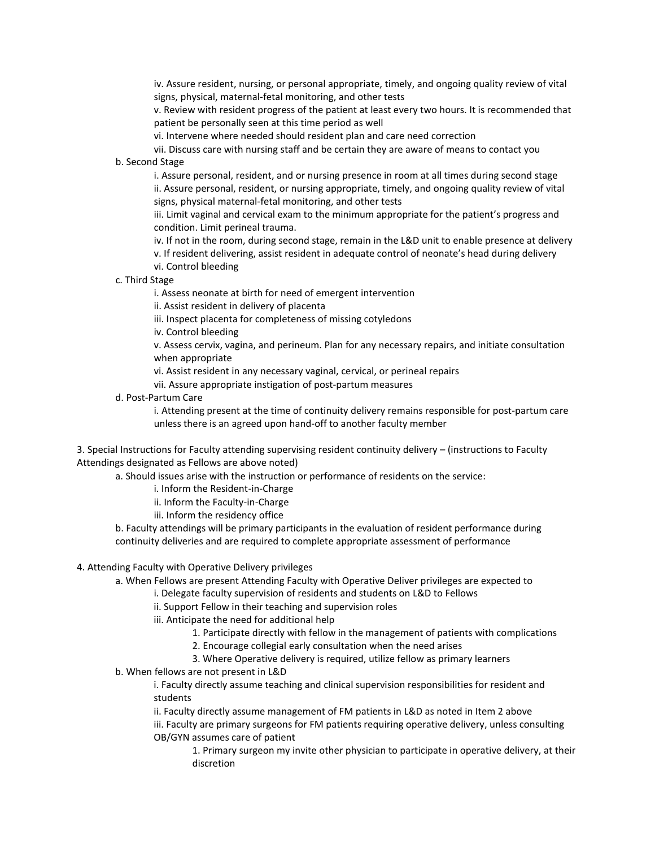iv. Assure resident, nursing, or personal appropriate, timely, and ongoing quality review of vital signs, physical, maternal-fetal monitoring, and other tests

v. Review with resident progress of the patient at least every two hours. It is recommended that patient be personally seen at this time period as well

vi. Intervene where needed should resident plan and care need correction

vii. Discuss care with nursing staff and be certain they are aware of means to contact you b. Second Stage

i. Assure personal, resident, and or nursing presence in room at all times during second stage ii. Assure personal, resident, or nursing appropriate, timely, and ongoing quality review of vital signs, physical maternal-fetal monitoring, and other tests

iii. Limit vaginal and cervical exam to the minimum appropriate for the patient's progress and condition. Limit perineal trauma.

iv. If not in the room, during second stage, remain in the L&D unit to enable presence at delivery

- v. If resident delivering, assist resident in adequate control of neonate's head during delivery vi. Control bleeding
- c. Third Stage

i. Assess neonate at birth for need of emergent intervention

ii. Assist resident in delivery of placenta

iii. Inspect placenta for completeness of missing cotyledons

iv. Control bleeding

v. Assess cervix, vagina, and perineum. Plan for any necessary repairs, and initiate consultation when appropriate

vi. Assist resident in any necessary vaginal, cervical, or perineal repairs

vii. Assure appropriate instigation of post-partum measures

d. Post-Partum Care

i. Attending present at the time of continuity delivery remains responsible for post-partum care unless there is an agreed upon hand-off to another faculty member

3. Special Instructions for Faculty attending supervising resident continuity delivery – (instructions to Faculty Attendings designated as Fellows are above noted)

a. Should issues arise with the instruction or performance of residents on the service:

i. Inform the Resident-in-Charge

ii. Inform the Faculty-in-Charge

iii. Inform the residency office

b. Faculty attendings will be primary participants in the evaluation of resident performance during continuity deliveries and are required to complete appropriate assessment of performance

#### 4. Attending Faculty with Operative Delivery privileges

a. When Fellows are present Attending Faculty with Operative Deliver privileges are expected to

i. Delegate faculty supervision of residents and students on L&D to Fellows

ii. Support Fellow in their teaching and supervision roles

iii. Anticipate the need for additional help

- 1. Participate directly with fellow in the management of patients with complications
	- 2. Encourage collegial early consultation when the need arises
	- 3. Where Operative delivery is required, utilize fellow as primary learners
- b. When fellows are not present in L&D

i. Faculty directly assume teaching and clinical supervision responsibilities for resident and students

ii. Faculty directly assume management of FM patients in L&D as noted in Item 2 above iii. Faculty are primary surgeons for FM patients requiring operative delivery, unless consulting OB/GYN assumes care of patient

1. Primary surgeon my invite other physician to participate in operative delivery, at their discretion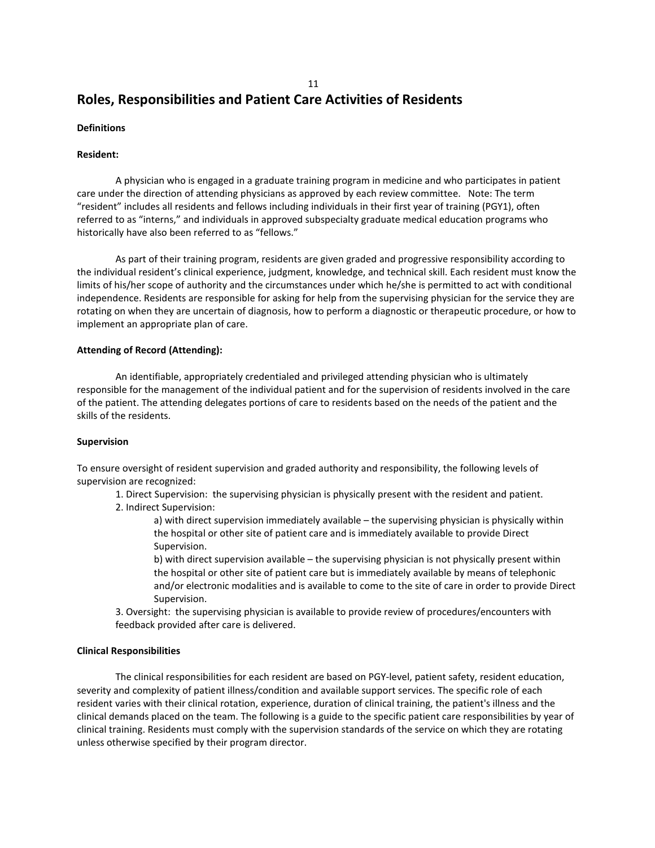# **Roles, Responsibilities and Patient Care Activities of Residents**

#### **Definitions**

#### **Resident:**

A physician who is engaged in a graduate training program in medicine and who participates in patient care under the direction of attending physicians as approved by each review committee. Note: The term "resident" includes all residents and fellows including individuals in their first year of training (PGY1), often referred to as "interns," and individuals in approved subspecialty graduate medical education programs who historically have also been referred to as "fellows."

As part of their training program, residents are given graded and progressive responsibility according to the individual resident's clinical experience, judgment, knowledge, and technical skill. Each resident must know the limits of his/her scope of authority and the circumstances under which he/she is permitted to act with conditional independence. Residents are responsible for asking for help from the supervising physician for the service they are rotating on when they are uncertain of diagnosis, how to perform a diagnostic or therapeutic procedure, or how to implement an appropriate plan of care.

#### **Attending of Record (Attending):**

An identifiable, appropriately credentialed and privileged attending physician who is ultimately responsible for the management of the individual patient and for the supervision of residents involved in the care of the patient. The attending delegates portions of care to residents based on the needs of the patient and the skills of the residents.

#### **Supervision**

To ensure oversight of resident supervision and graded authority and responsibility, the following levels of supervision are recognized:

1. Direct Supervision: the supervising physician is physically present with the resident and patient.

2. Indirect Supervision:

a) with direct supervision immediately available – the supervising physician is physically within the hospital or other site of patient care and is immediately available to provide Direct Supervision.

b) with direct supervision available – the supervising physician is not physically present within the hospital or other site of patient care but is immediately available by means of telephonic and/or electronic modalities and is available to come to the site of care in order to provide Direct Supervision.

3. Oversight: the supervising physician is available to provide review of procedures/encounters with feedback provided after care is delivered.

#### **Clinical Responsibilities**

The clinical responsibilities for each resident are based on PGY-level, patient safety, resident education, severity and complexity of patient illness/condition and available support services. The specific role of each resident varies with their clinical rotation, experience, duration of clinical training, the patient's illness and the clinical demands placed on the team. The following is a guide to the specific patient care responsibilities by year of clinical training. Residents must comply with the supervision standards of the service on which they are rotating unless otherwise specified by their program director.

11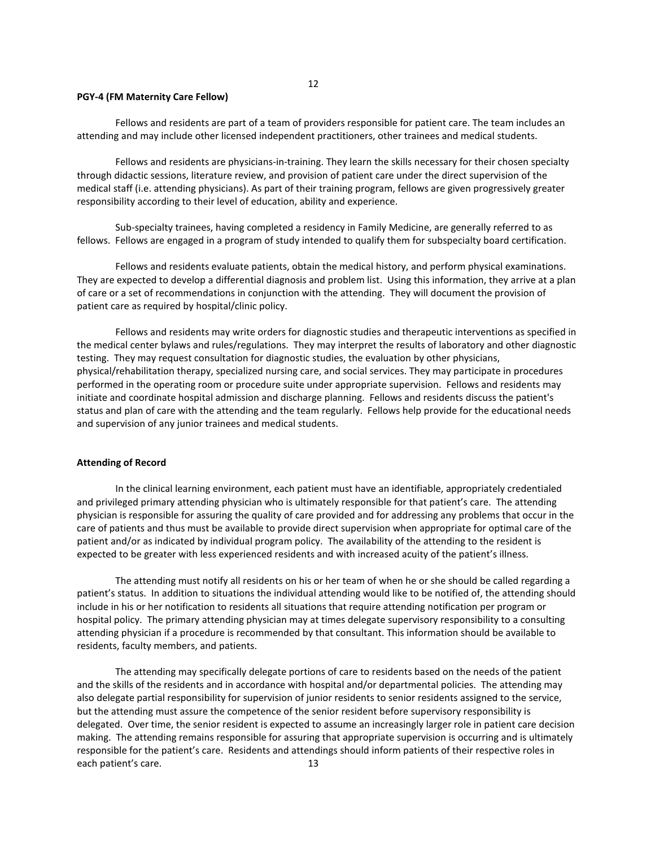#### 12

#### **PGY-4 (FM Maternity Care Fellow)**

Fellows and residents are part of a team of providers responsible for patient care. The team includes an attending and may include other licensed independent practitioners, other trainees and medical students.

Fellows and residents are physicians-in-training. They learn the skills necessary for their chosen specialty through didactic sessions, literature review, and provision of patient care under the direct supervision of the medical staff (i.e. attending physicians). As part of their training program, fellows are given progressively greater responsibility according to their level of education, ability and experience.

Sub-specialty trainees, having completed a residency in Family Medicine, are generally referred to as fellows. Fellows are engaged in a program of study intended to qualify them for subspecialty board certification.

Fellows and residents evaluate patients, obtain the medical history, and perform physical examinations. They are expected to develop a differential diagnosis and problem list. Using this information, they arrive at a plan of care or a set of recommendations in conjunction with the attending. They will document the provision of patient care as required by hospital/clinic policy.

Fellows and residents may write orders for diagnostic studies and therapeutic interventions as specified in the medical center bylaws and rules/regulations. They may interpret the results of laboratory and other diagnostic testing. They may request consultation for diagnostic studies, the evaluation by other physicians, physical/rehabilitation therapy, specialized nursing care, and social services. They may participate in procedures performed in the operating room or procedure suite under appropriate supervision. Fellows and residents may initiate and coordinate hospital admission and discharge planning. Fellows and residents discuss the patient's status and plan of care with the attending and the team regularly. Fellows help provide for the educational needs and supervision of any junior trainees and medical students.

#### **Attending of Record**

In the clinical learning environment, each patient must have an identifiable, appropriately credentialed and privileged primary attending physician who is ultimately responsible for that patient's care. The attending physician is responsible for assuring the quality of care provided and for addressing any problems that occur in the care of patients and thus must be available to provide direct supervision when appropriate for optimal care of the patient and/or as indicated by individual program policy. The availability of the attending to the resident is expected to be greater with less experienced residents and with increased acuity of the patient's illness.

The attending must notify all residents on his or her team of when he or she should be called regarding a patient's status. In addition to situations the individual attending would like to be notified of, the attending should include in his or her notification to residents all situations that require attending notification per program or hospital policy. The primary attending physician may at times delegate supervisory responsibility to a consulting attending physician if a procedure is recommended by that consultant. This information should be available to residents, faculty members, and patients.

The attending may specifically delegate portions of care to residents based on the needs of the patient and the skills of the residents and in accordance with hospital and/or departmental policies. The attending may also delegate partial responsibility for supervision of junior residents to senior residents assigned to the service, but the attending must assure the competence of the senior resident before supervisory responsibility is delegated. Over time, the senior resident is expected to assume an increasingly larger role in patient care decision making. The attending remains responsible for assuring that appropriate supervision is occurring and is ultimately responsible for the patient's care. Residents and attendings should inform patients of their respective roles in each patient's care. 13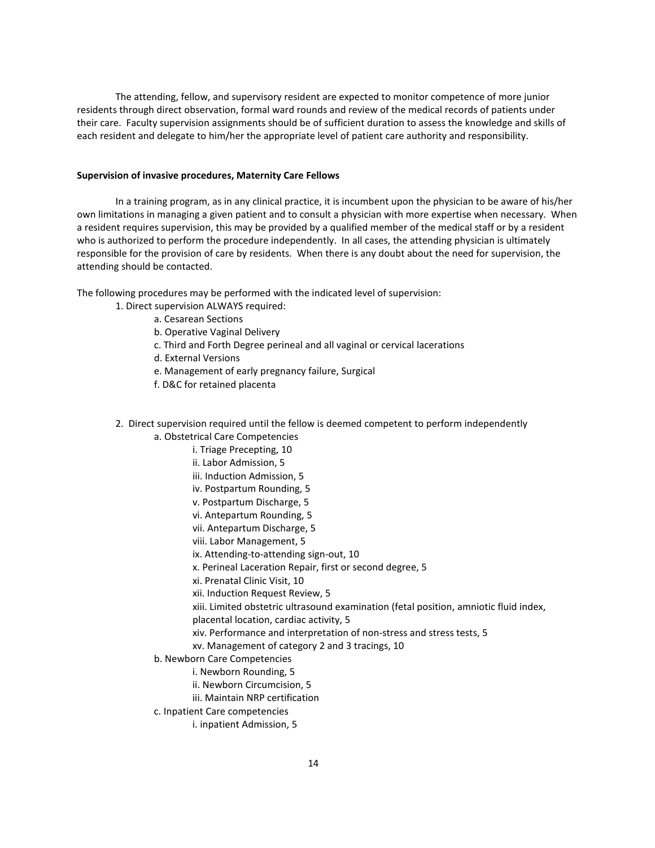The attending, fellow, and supervisory resident are expected to monitor competence of more junior residents through direct observation, formal ward rounds and review of the medical records of patients under their care. Faculty supervision assignments should be of sufficient duration to assess the knowledge and skills of each resident and delegate to him/her the appropriate level of patient care authority and responsibility.

#### **Supervision of invasive procedures, Maternity Care Fellows**

In a training program, as in any clinical practice, it is incumbent upon the physician to be aware of his/her own limitations in managing a given patient and to consult a physician with more expertise when necessary. When a resident requires supervision, this may be provided by a qualified member of the medical staff or by a resident who is authorized to perform the procedure independently. In all cases, the attending physician is ultimately responsible for the provision of care by residents. When there is any doubt about the need for supervision, the attending should be contacted.

The following procedures may be performed with the indicated level of supervision:

- 1. Direct supervision ALWAYS required:
	- a. Cesarean Sections
	- b. Operative Vaginal Delivery
	- c. Third and Forth Degree perineal and all vaginal or cervical lacerations
	- d. External Versions
	- e. Management of early pregnancy failure, Surgical
	- f. D&C for retained placenta

2. Direct supervision required until the fellow is deemed competent to perform independently

- a. Obstetrical Care Competencies
	- i. Triage Precepting, 10
	- ii. Labor Admission, 5
	- iii. Induction Admission, 5
	- iv. Postpartum Rounding, 5
	- v. Postpartum Discharge, 5
	- vi. Antepartum Rounding, 5
	- vii. Antepartum Discharge, 5
	- viii. Labor Management, 5
	- ix. Attending-to-attending sign-out, 10
	- x. Perineal Laceration Repair, first or second degree, 5
	- xi. Prenatal Clinic Visit, 10
	- xii. Induction Request Review, 5
	- xiii. Limited obstetric ultrasound examination (fetal position, amniotic fluid index,
	- placental location, cardiac activity, 5
	- xiv. Performance and interpretation of non-stress and stress tests, 5
	- xv. Management of category 2 and 3 tracings, 10
- b. Newborn Care Competencies
	- i. Newborn Rounding, 5
	- ii. Newborn Circumcision, 5
	- iii. Maintain NRP certification
- c. Inpatient Care competencies
	- i. inpatient Admission, 5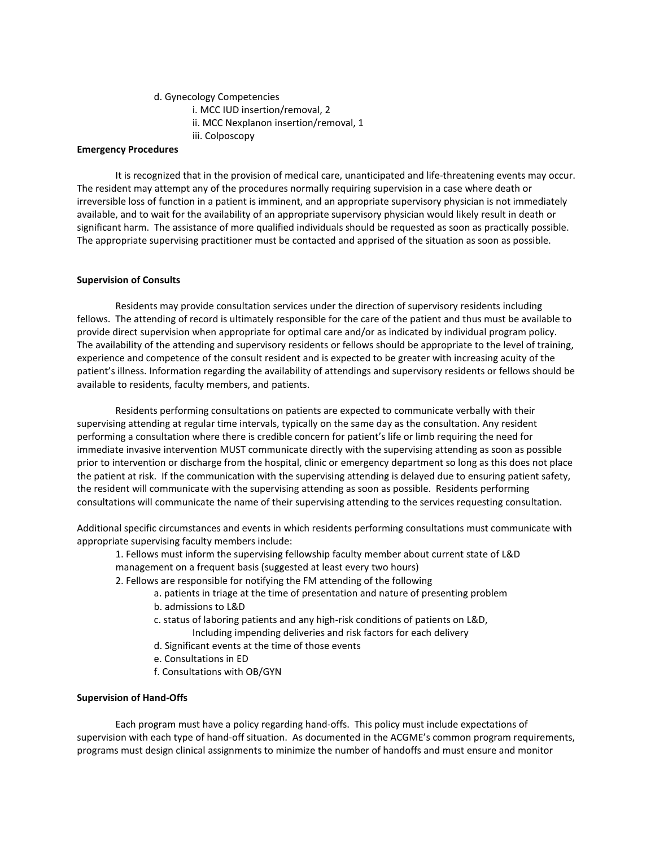#### d. Gynecology Competencies

- i. MCC IUD insertion/removal, 2
- ii. MCC Nexplanon insertion/removal, 1
- iii. Colposcopy

#### **Emergency Procedures**

It is recognized that in the provision of medical care, unanticipated and life-threatening events may occur. The resident may attempt any of the procedures normally requiring supervision in a case where death or irreversible loss of function in a patient is imminent, and an appropriate supervisory physician is not immediately available, and to wait for the availability of an appropriate supervisory physician would likely result in death or significant harm. The assistance of more qualified individuals should be requested as soon as practically possible. The appropriate supervising practitioner must be contacted and apprised of the situation as soon as possible.

#### **Supervision of Consults**

Residents may provide consultation services under the direction of supervisory residents including fellows. The attending of record is ultimately responsible for the care of the patient and thus must be available to provide direct supervision when appropriate for optimal care and/or as indicated by individual program policy. The availability of the attending and supervisory residents or fellows should be appropriate to the level of training, experience and competence of the consult resident and is expected to be greater with increasing acuity of the patient's illness. Information regarding the availability of attendings and supervisory residents or fellows should be available to residents, faculty members, and patients.

Residents performing consultations on patients are expected to communicate verbally with their supervising attending at regular time intervals, typically on the same day as the consultation. Any resident performing a consultation where there is credible concern for patient's life or limb requiring the need for immediate invasive intervention MUST communicate directly with the supervising attending as soon as possible prior to intervention or discharge from the hospital, clinic or emergency department so long as this does not place the patient at risk. If the communication with the supervising attending is delayed due to ensuring patient safety, the resident will communicate with the supervising attending as soon as possible. Residents performing consultations will communicate the name of their supervising attending to the services requesting consultation.

Additional specific circumstances and events in which residents performing consultations must communicate with appropriate supervising faculty members include:

1. Fellows must inform the supervising fellowship faculty member about current state of L&D management on a frequent basis (suggested at least every two hours)

- 2. Fellows are responsible for notifying the FM attending of the following
	- a. patients in triage at the time of presentation and nature of presenting problem
		- b. admissions to L&D
		- c. status of laboring patients and any high-risk conditions of patients on L&D, Including impending deliveries and risk factors for each delivery
		- d. Significant events at the time of those events
		- e. Consultations in ED
		- f. Consultations with OB/GYN

#### **Supervision of Hand-Offs**

Each program must have a policy regarding hand-offs. This policy must include expectations of supervision with each type of hand-off situation. As documented in the ACGME's common program requirements, programs must design clinical assignments to minimize the number of handoffs and must ensure and monitor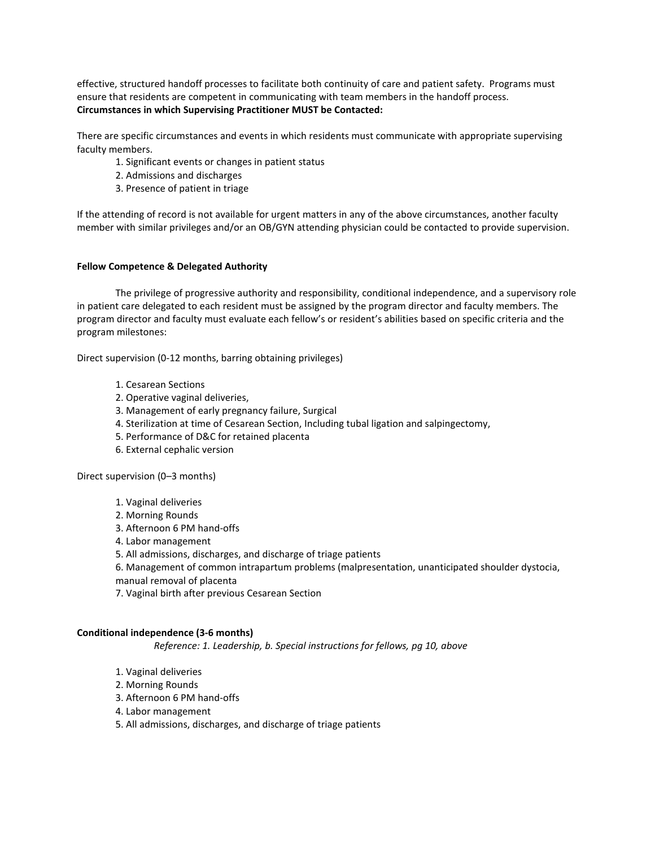effective, structured handoff processes to facilitate both continuity of care and patient safety. Programs must ensure that residents are competent in communicating with team members in the handoff process. **Circumstances in which Supervising Practitioner MUST be Contacted:**

There are specific circumstances and events in which residents must communicate with appropriate supervising faculty members.

- 1. Significant events or changes in patient status
- 2. Admissions and discharges
- 3. Presence of patient in triage

If the attending of record is not available for urgent matters in any of the above circumstances, another faculty member with similar privileges and/or an OB/GYN attending physician could be contacted to provide supervision.

#### **Fellow Competence & Delegated Authority**

The privilege of progressive authority and responsibility, conditional independence, and a supervisory role in patient care delegated to each resident must be assigned by the program director and faculty members. The program director and faculty must evaluate each fellow's or resident's abilities based on specific criteria and the program milestones:

Direct supervision (0-12 months, barring obtaining privileges)

- 1. Cesarean Sections
- 2. Operative vaginal deliveries,
- 3. Management of early pregnancy failure, Surgical
- 4. Sterilization at time of Cesarean Section, Including tubal ligation and salpingectomy,
- 5. Performance of D&C for retained placenta
- 6. External cephalic version

Direct supervision (0–3 months)

- 1. Vaginal deliveries
- 2. Morning Rounds
- 3. Afternoon 6 PM hand-offs
- 4. Labor management
- 5. All admissions, discharges, and discharge of triage patients
- 6. Management of common intrapartum problems (malpresentation, unanticipated shoulder dystocia,
- manual removal of placenta
- 7. Vaginal birth after previous Cesarean Section

#### **Conditional independence (3-6 months)**

*Reference: 1. Leadership, b. Special instructions for fellows, pg 10, above*

- 1. Vaginal deliveries
- 2. Morning Rounds
- 3. Afternoon 6 PM hand-offs
- 4. Labor management
- 5. All admissions, discharges, and discharge of triage patients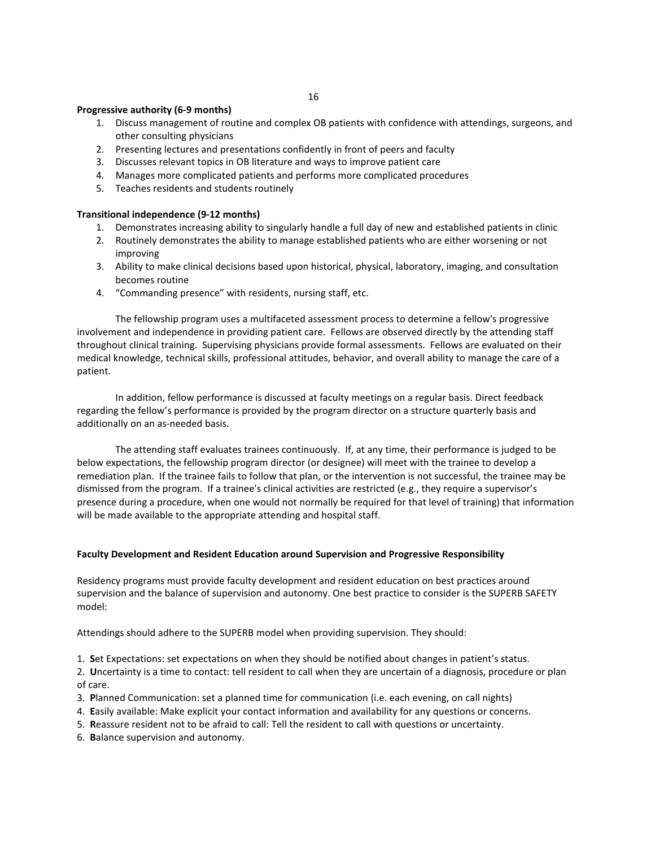#### **Progressive authority (6-9 months)**

- 1. Discuss management of routine and complex OB patients with confidence with attendings, surgeons, and other consulting physicians
- 2. Presenting lectures and presentations confidently in front of peers and faculty
- 3. Discusses relevant topics in OB literature and ways to improve patient care
- 4. Manages more complicated patients and performs more complicated procedures
- 5. Teaches residents and students routinely

#### **Transitional independence (9-12 months)**

- 1. Demonstrates increasing ability to singularly handle a full day of new and established patients in clinic
- 2. Routinely demonstrates the ability to manage established patients who are either worsening or not improving
- 3. Ability to make clinical decisions based upon historical, physical, laboratory, imaging, and consultation becomes routine
- 4. "Commanding presence" with residents, nursing staff, etc.

The fellowship program uses a multifaceted assessment process to determine a fellow's progressive involvement and independence in providing patient care. Fellows are observed directly by the attending staff throughout clinical training. Supervising physicians provide formal assessments. Fellows are evaluated on their medical knowledge, technical skills, professional attitudes, behavior, and overall ability to manage the care of a patient.

In addition, fellow performance is discussed at faculty meetings on a regular basis. Direct feedback regarding the fellow's performance is provided by the program director on a structure quarterly basis and additionally on an as-needed basis.

The attending staff evaluates trainees continuously. If, at any time, their performance is judged to be below expectations, the fellowship program director (or designee) will meet with the trainee to develop a remediation plan. If the trainee fails to follow that plan, or the intervention is not successful, the trainee may be dismissed from the program. If a trainee's clinical activities are restricted (e.g., they require a supervisor's presence during a procedure, when one would not normally be required for that level of training) that information will be made available to the appropriate attending and hospital staff.

#### **Faculty Development and Resident Education around Supervision and Progressive Responsibility**

Residency programs must provide faculty development and resident education on best practices around supervision and the balance of supervision and autonomy. One best practice to consider is the SUPERB SAFETY model:

Attendings should adhere to the SUPERB model when providing supervision. They should:

1. **S**et Expectations: set expectations on when they should be notified about changes in patient's status.

2. **U**ncertainty is a time to contact: tell resident to call when they are uncertain of a diagnosis, procedure or plan of care.

- 3. **P**lanned Communication: set a planned time for communication (i.e. each evening, on call nights)
- 4. **E**asily available: Make explicit your contact information and availability for any questions or concerns.
- 5. **R**eassure resident not to be afraid to call: Tell the resident to call with questions or uncertainty.
- 6. **B**alance supervision and autonomy.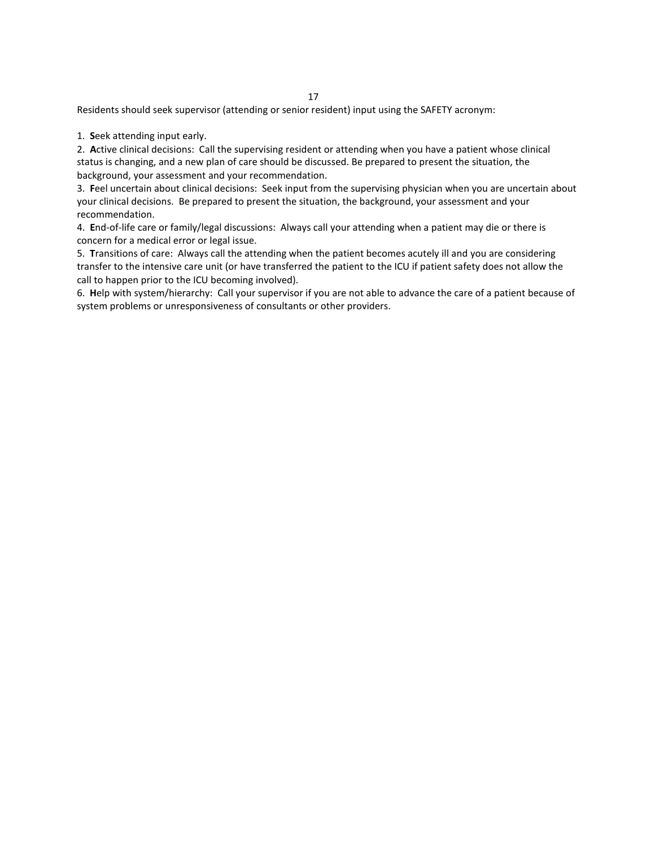Residents should seek supervisor (attending or senior resident) input using the SAFETY acronym:

1. **S**eek attending input early.

2. **A**ctive clinical decisions: Call the supervising resident or attending when you have a patient whose clinical status is changing, and a new plan of care should be discussed. Be prepared to present the situation, the background, your assessment and your recommendation.

3. **F**eel uncertain about clinical decisions: Seek input from the supervising physician when you are uncertain about your clinical decisions. Be prepared to present the situation, the background, your assessment and your recommendation.

4. **E**nd-of-life care or family/legal discussions: Always call your attending when a patient may die or there is concern for a medical error or legal issue.

5. **T**ransitions of care: Always call the attending when the patient becomes acutely ill and you are considering transfer to the intensive care unit (or have transferred the patient to the ICU if patient safety does not allow the call to happen prior to the ICU becoming involved).

6. **H**elp with system/hierarchy: Call your supervisor if you are not able to advance the care of a patient because of system problems or unresponsiveness of consultants or other providers.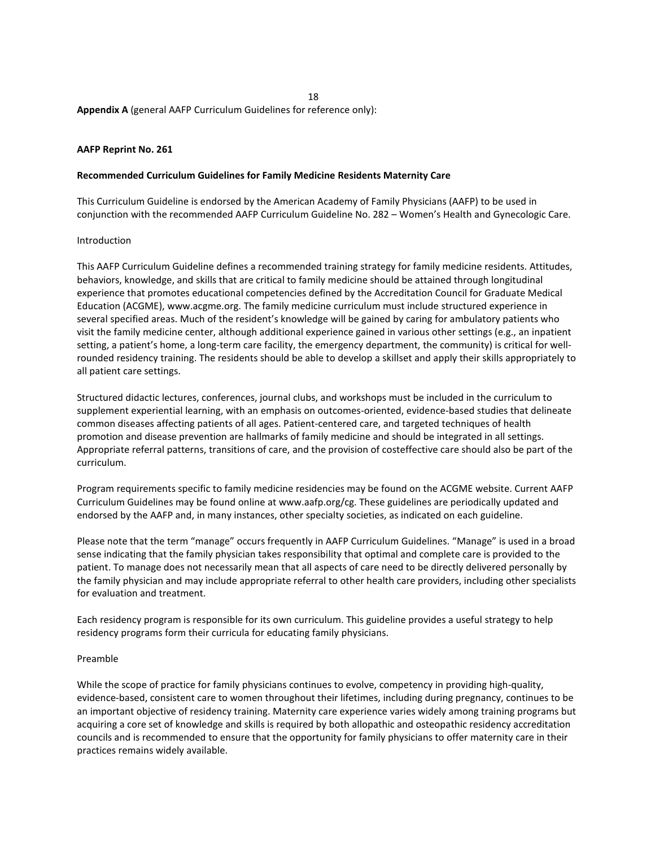**Appendix A** (general AAFP Curriculum Guidelines for reference only):

#### **AAFP Reprint No. 261**

#### **Recommended Curriculum Guidelines for Family Medicine Residents Maternity Care**

This Curriculum Guideline is endorsed by the American Academy of Family Physicians (AAFP) to be used in conjunction with the recommended AAFP Curriculum Guideline No. 282 – Women's Health and Gynecologic Care.

#### Introduction

This AAFP Curriculum Guideline defines a recommended training strategy for family medicine residents. Attitudes, behaviors, knowledge, and skills that are critical to family medicine should be attained through longitudinal experience that promotes educational competencies defined by the Accreditation Council for Graduate Medical Education (ACGME), www.acgme.org. The family medicine curriculum must include structured experience in several specified areas. Much of the resident's knowledge will be gained by caring for ambulatory patients who visit the family medicine center, although additional experience gained in various other settings (e.g., an inpatient setting, a patient's home, a long-term care facility, the emergency department, the community) is critical for wellrounded residency training. The residents should be able to develop a skillset and apply their skills appropriately to all patient care settings.

Structured didactic lectures, conferences, journal clubs, and workshops must be included in the curriculum to supplement experiential learning, with an emphasis on outcomes-oriented, evidence-based studies that delineate common diseases affecting patients of all ages. Patient-centered care, and targeted techniques of health promotion and disease prevention are hallmarks of family medicine and should be integrated in all settings. Appropriate referral patterns, transitions of care, and the provision of costeffective care should also be part of the curriculum.

Program requirements specific to family medicine residencies may be found on the ACGME website. Current AAFP Curriculum Guidelines may be found online at www.aafp.org/cg. These guidelines are periodically updated and endorsed by the AAFP and, in many instances, other specialty societies, as indicated on each guideline.

Please note that the term "manage" occurs frequently in AAFP Curriculum Guidelines. "Manage" is used in a broad sense indicating that the family physician takes responsibility that optimal and complete care is provided to the patient. To manage does not necessarily mean that all aspects of care need to be directly delivered personally by the family physician and may include appropriate referral to other health care providers, including other specialists for evaluation and treatment.

Each residency program is responsible for its own curriculum. This guideline provides a useful strategy to help residency programs form their curricula for educating family physicians.

#### Preamble

While the scope of practice for family physicians continues to evolve, competency in providing high-quality, evidence-based, consistent care to women throughout their lifetimes, including during pregnancy, continues to be an important objective of residency training. Maternity care experience varies widely among training programs but acquiring a core set of knowledge and skills is required by both allopathic and osteopathic residency accreditation councils and is recommended to ensure that the opportunity for family physicians to offer maternity care in their practices remains widely available.

18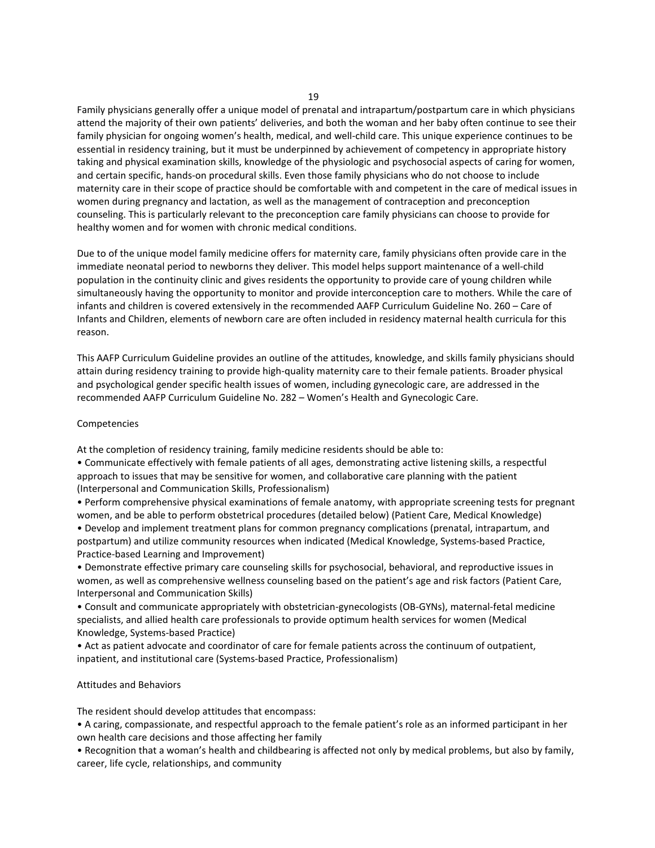Family physicians generally offer a unique model of prenatal and intrapartum/postpartum care in which physicians attend the majority of their own patients' deliveries, and both the woman and her baby often continue to see their family physician for ongoing women's health, medical, and well-child care. This unique experience continues to be essential in residency training, but it must be underpinned by achievement of competency in appropriate history taking and physical examination skills, knowledge of the physiologic and psychosocial aspects of caring for women, and certain specific, hands-on procedural skills. Even those family physicians who do not choose to include maternity care in their scope of practice should be comfortable with and competent in the care of medical issues in women during pregnancy and lactation, as well as the management of contraception and preconception counseling. This is particularly relevant to the preconception care family physicians can choose to provide for healthy women and for women with chronic medical conditions.

Due to of the unique model family medicine offers for maternity care, family physicians often provide care in the immediate neonatal period to newborns they deliver. This model helps support maintenance of a well-child population in the continuity clinic and gives residents the opportunity to provide care of young children while simultaneously having the opportunity to monitor and provide interconception care to mothers. While the care of infants and children is covered extensively in the recommended AAFP Curriculum Guideline No. 260 – Care of Infants and Children, elements of newborn care are often included in residency maternal health curricula for this reason.

This AAFP Curriculum Guideline provides an outline of the attitudes, knowledge, and skills family physicians should attain during residency training to provide high-quality maternity care to their female patients. Broader physical and psychological gender specific health issues of women, including gynecologic care, are addressed in the recommended AAFP Curriculum Guideline No. 282 – Women's Health and Gynecologic Care.

#### Competencies

At the completion of residency training, family medicine residents should be able to:

• Communicate effectively with female patients of all ages, demonstrating active listening skills, a respectful approach to issues that may be sensitive for women, and collaborative care planning with the patient (Interpersonal and Communication Skills, Professionalism)

• Perform comprehensive physical examinations of female anatomy, with appropriate screening tests for pregnant women, and be able to perform obstetrical procedures (detailed below) (Patient Care, Medical Knowledge) • Develop and implement treatment plans for common pregnancy complications (prenatal, intrapartum, and postpartum) and utilize community resources when indicated (Medical Knowledge, Systems-based Practice, Practice-based Learning and Improvement)

• Demonstrate effective primary care counseling skills for psychosocial, behavioral, and reproductive issues in women, as well as comprehensive wellness counseling based on the patient's age and risk factors (Patient Care, Interpersonal and Communication Skills)

• Consult and communicate appropriately with obstetrician-gynecologists (OB-GYNs), maternal-fetal medicine specialists, and allied health care professionals to provide optimum health services for women (Medical Knowledge, Systems-based Practice)

• Act as patient advocate and coordinator of care for female patients across the continuum of outpatient, inpatient, and institutional care (Systems-based Practice, Professionalism)

#### Attitudes and Behaviors

The resident should develop attitudes that encompass:

• A caring, compassionate, and respectful approach to the female patient's role as an informed participant in her own health care decisions and those affecting her family

• Recognition that a woman's health and childbearing is affected not only by medical problems, but also by family, career, life cycle, relationships, and community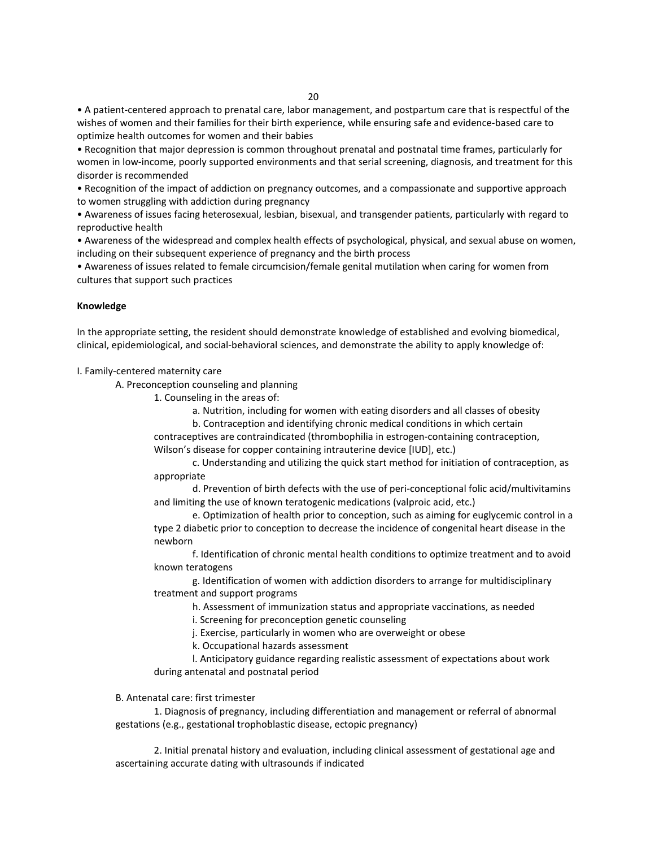• A patient-centered approach to prenatal care, labor management, and postpartum care that is respectful of the wishes of women and their families for their birth experience, while ensuring safe and evidence-based care to optimize health outcomes for women and their babies

• Recognition that major depression is common throughout prenatal and postnatal time frames, particularly for women in low-income, poorly supported environments and that serial screening, diagnosis, and treatment for this disorder is recommended

• Recognition of the impact of addiction on pregnancy outcomes, and a compassionate and supportive approach to women struggling with addiction during pregnancy

• Awareness of issues facing heterosexual, lesbian, bisexual, and transgender patients, particularly with regard to reproductive health

• Awareness of the widespread and complex health effects of psychological, physical, and sexual abuse on women, including on their subsequent experience of pregnancy and the birth process

• Awareness of issues related to female circumcision/female genital mutilation when caring for women from cultures that support such practices

#### **Knowledge**

In the appropriate setting, the resident should demonstrate knowledge of established and evolving biomedical, clinical, epidemiological, and social-behavioral sciences, and demonstrate the ability to apply knowledge of:

#### I. Family-centered maternity care

A. Preconception counseling and planning

1. Counseling in the areas of:

a. Nutrition, including for women with eating disorders and all classes of obesity b. Contraception and identifying chronic medical conditions in which certain

contraceptives are contraindicated (thrombophilia in estrogen-containing contraception, Wilson's disease for copper containing intrauterine device [IUD], etc.)

c. Understanding and utilizing the quick start method for initiation of contraception, as appropriate

d. Prevention of birth defects with the use of peri-conceptional folic acid/multivitamins and limiting the use of known teratogenic medications (valproic acid, etc.)

e. Optimization of health prior to conception, such as aiming for euglycemic control in a type 2 diabetic prior to conception to decrease the incidence of congenital heart disease in the newborn

f. Identification of chronic mental health conditions to optimize treatment and to avoid known teratogens

g. Identification of women with addiction disorders to arrange for multidisciplinary treatment and support programs

h. Assessment of immunization status and appropriate vaccinations, as needed

i. Screening for preconception genetic counseling

j. Exercise, particularly in women who are overweight or obese

k. Occupational hazards assessment

l. Anticipatory guidance regarding realistic assessment of expectations about work during antenatal and postnatal period

#### B. Antenatal care: first trimester

1. Diagnosis of pregnancy, including differentiation and management or referral of abnormal gestations (e.g., gestational trophoblastic disease, ectopic pregnancy)

2. Initial prenatal history and evaluation, including clinical assessment of gestational age and ascertaining accurate dating with ultrasounds if indicated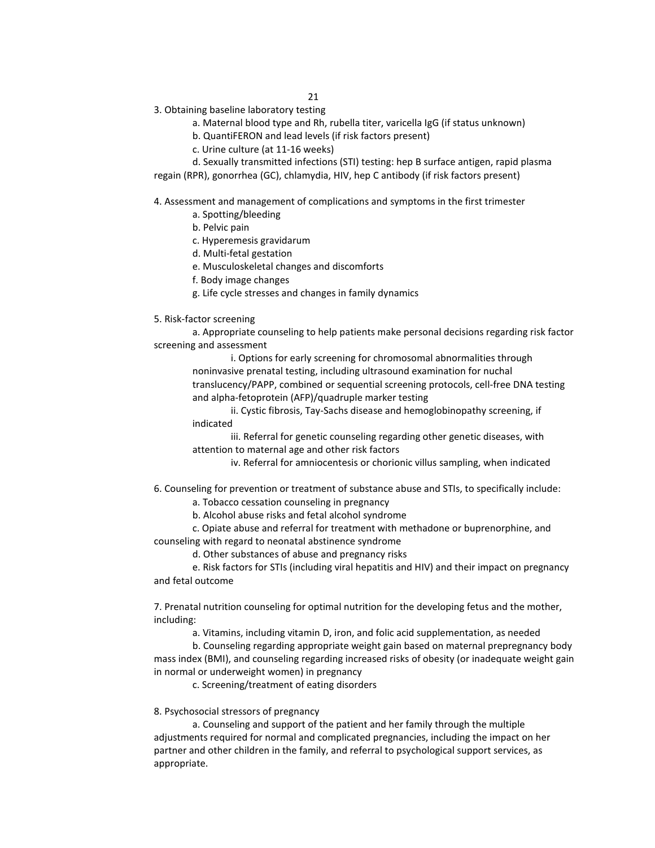- 3. Obtaining baseline laboratory testing
	- a. Maternal blood type and Rh, rubella titer, varicella IgG (if status unknown)
	- b. QuantiFERON and lead levels (if risk factors present)
	- c. Urine culture (at 11-16 weeks)

d. Sexually transmitted infections (STI) testing: hep B surface antigen, rapid plasma regain (RPR), gonorrhea (GC), chlamydia, HIV, hep C antibody (if risk factors present)

4. Assessment and management of complications and symptoms in the first trimester

- a. Spotting/bleeding
- b. Pelvic pain
- c. Hyperemesis gravidarum
- d. Multi-fetal gestation
- e. Musculoskeletal changes and discomforts
- f. Body image changes
- g. Life cycle stresses and changes in family dynamics
- 5. Risk-factor screening

a. Appropriate counseling to help patients make personal decisions regarding risk factor screening and assessment

i. Options for early screening for chromosomal abnormalities through noninvasive prenatal testing, including ultrasound examination for nuchal translucency/PAPP, combined or sequential screening protocols, cell-free DNA testing and alpha-fetoprotein (AFP)/quadruple marker testing

ii. Cystic fibrosis, Tay-Sachs disease and hemoglobinopathy screening, if indicated

iii. Referral for genetic counseling regarding other genetic diseases, with attention to maternal age and other risk factors

iv. Referral for amniocentesis or chorionic villus sampling, when indicated

6. Counseling for prevention or treatment of substance abuse and STIs, to specifically include:

a. Tobacco cessation counseling in pregnancy

b. Alcohol abuse risks and fetal alcohol syndrome

c. Opiate abuse and referral for treatment with methadone or buprenorphine, and counseling with regard to neonatal abstinence syndrome

d. Other substances of abuse and pregnancy risks

e. Risk factors for STIs (including viral hepatitis and HIV) and their impact on pregnancy and fetal outcome

7. Prenatal nutrition counseling for optimal nutrition for the developing fetus and the mother, including:

a. Vitamins, including vitamin D, iron, and folic acid supplementation, as needed

b. Counseling regarding appropriate weight gain based on maternal prepregnancy body mass index (BMI), and counseling regarding increased risks of obesity (or inadequate weight gain in normal or underweight women) in pregnancy

c. Screening/treatment of eating disorders

#### 8. Psychosocial stressors of pregnancy

a. Counseling and support of the patient and her family through the multiple adjustments required for normal and complicated pregnancies, including the impact on her partner and other children in the family, and referral to psychological support services, as appropriate.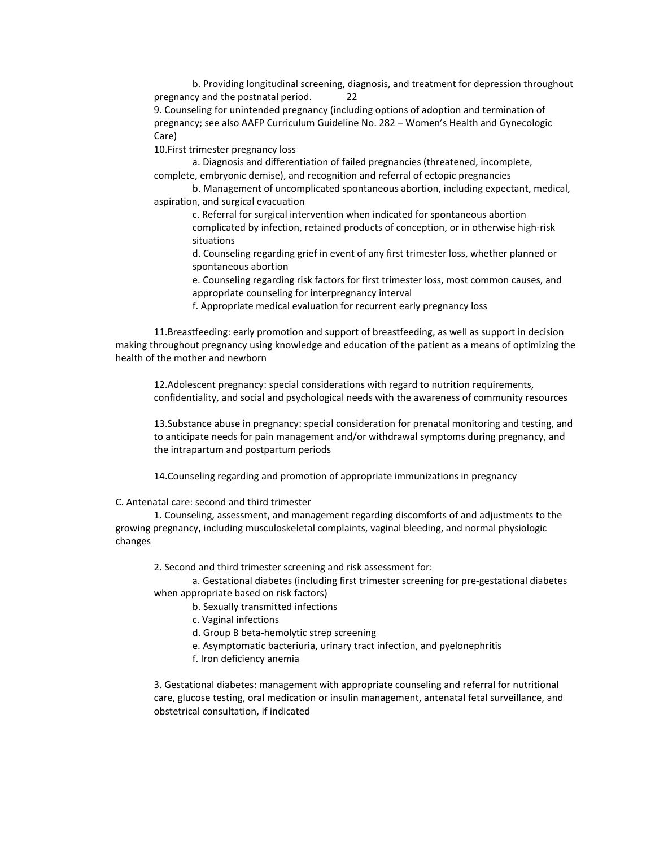b. Providing longitudinal screening, diagnosis, and treatment for depression throughout pregnancy and the postnatal period. 22

9. Counseling for unintended pregnancy (including options of adoption and termination of pregnancy; see also AAFP Curriculum Guideline No. 282 – Women's Health and Gynecologic Care)

10.First trimester pregnancy loss

a. Diagnosis and differentiation of failed pregnancies (threatened, incomplete, complete, embryonic demise), and recognition and referral of ectopic pregnancies

b. Management of uncomplicated spontaneous abortion, including expectant, medical, aspiration, and surgical evacuation

c. Referral for surgical intervention when indicated for spontaneous abortion complicated by infection, retained products of conception, or in otherwise high-risk situations

d. Counseling regarding grief in event of any first trimester loss, whether planned or spontaneous abortion

e. Counseling regarding risk factors for first trimester loss, most common causes, and appropriate counseling for interpregnancy interval

f. Appropriate medical evaluation for recurrent early pregnancy loss

11.Breastfeeding: early promotion and support of breastfeeding, as well as support in decision making throughout pregnancy using knowledge and education of the patient as a means of optimizing the health of the mother and newborn

12.Adolescent pregnancy: special considerations with regard to nutrition requirements, confidentiality, and social and psychological needs with the awareness of community resources

13.Substance abuse in pregnancy: special consideration for prenatal monitoring and testing, and to anticipate needs for pain management and/or withdrawal symptoms during pregnancy, and the intrapartum and postpartum periods

14.Counseling regarding and promotion of appropriate immunizations in pregnancy

C. Antenatal care: second and third trimester

1. Counseling, assessment, and management regarding discomforts of and adjustments to the growing pregnancy, including musculoskeletal complaints, vaginal bleeding, and normal physiologic changes

2. Second and third trimester screening and risk assessment for:

a. Gestational diabetes (including first trimester screening for pre-gestational diabetes when appropriate based on risk factors)

- b. Sexually transmitted infections
- c. Vaginal infections

d. Group B beta-hemolytic strep screening

- e. Asymptomatic bacteriuria, urinary tract infection, and pyelonephritis
- f. Iron deficiency anemia

3. Gestational diabetes: management with appropriate counseling and referral for nutritional care, glucose testing, oral medication or insulin management, antenatal fetal surveillance, and obstetrical consultation, if indicated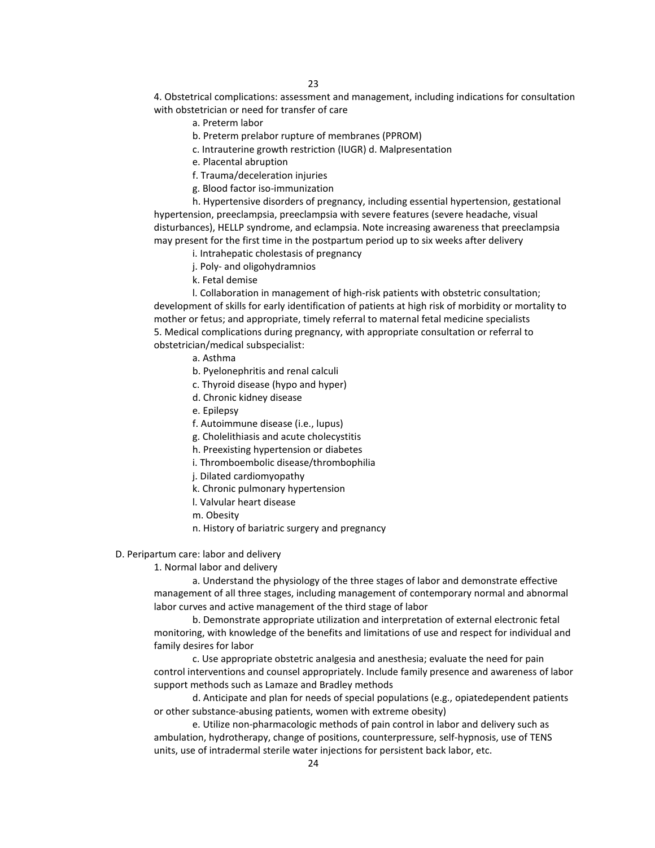4. Obstetrical complications: assessment and management, including indications for consultation with obstetrician or need for transfer of care

a. Preterm labor

b. Preterm prelabor rupture of membranes (PPROM)

- c. Intrauterine growth restriction (IUGR) d. Malpresentation
- e. Placental abruption
- f. Trauma/deceleration injuries
- g. Blood factor iso-immunization

h. Hypertensive disorders of pregnancy, including essential hypertension, gestational hypertension, preeclampsia, preeclampsia with severe features (severe headache, visual disturbances), HELLP syndrome, and eclampsia. Note increasing awareness that preeclampsia may present for the first time in the postpartum period up to six weeks after delivery

- i. Intrahepatic cholestasis of pregnancy
- j. Poly- and oligohydramnios

k. Fetal demise

l. Collaboration in management of high-risk patients with obstetric consultation; development of skills for early identification of patients at high risk of morbidity or mortality to mother or fetus; and appropriate, timely referral to maternal fetal medicine specialists 5. Medical complications during pregnancy, with appropriate consultation or referral to obstetrician/medical subspecialist:

- a. Asthma
- b. Pyelonephritis and renal calculi
- c. Thyroid disease (hypo and hyper)
- d. Chronic kidney disease
- e. Epilepsy
- f. Autoimmune disease (i.e., lupus)
- g. Cholelithiasis and acute cholecystitis
- h. Preexisting hypertension or diabetes
- i. Thromboembolic disease/thrombophilia
- j. Dilated cardiomyopathy
- k. Chronic pulmonary hypertension
- l. Valvular heart disease
- m. Obesity
- n. History of bariatric surgery and pregnancy

D. Peripartum care: labor and delivery

1. Normal labor and delivery

a. Understand the physiology of the three stages of labor and demonstrate effective management of all three stages, including management of contemporary normal and abnormal labor curves and active management of the third stage of labor

b. Demonstrate appropriate utilization and interpretation of external electronic fetal monitoring, with knowledge of the benefits and limitations of use and respect for individual and family desires for labor

c. Use appropriate obstetric analgesia and anesthesia; evaluate the need for pain control interventions and counsel appropriately. Include family presence and awareness of labor support methods such as Lamaze and Bradley methods

d. Anticipate and plan for needs of special populations (e.g., opiatedependent patients or other substance-abusing patients, women with extreme obesity)

e. Utilize non-pharmacologic methods of pain control in labor and delivery such as ambulation, hydrotherapy, change of positions, counterpressure, self-hypnosis, use of TENS units, use of intradermal sterile water injections for persistent back labor, etc.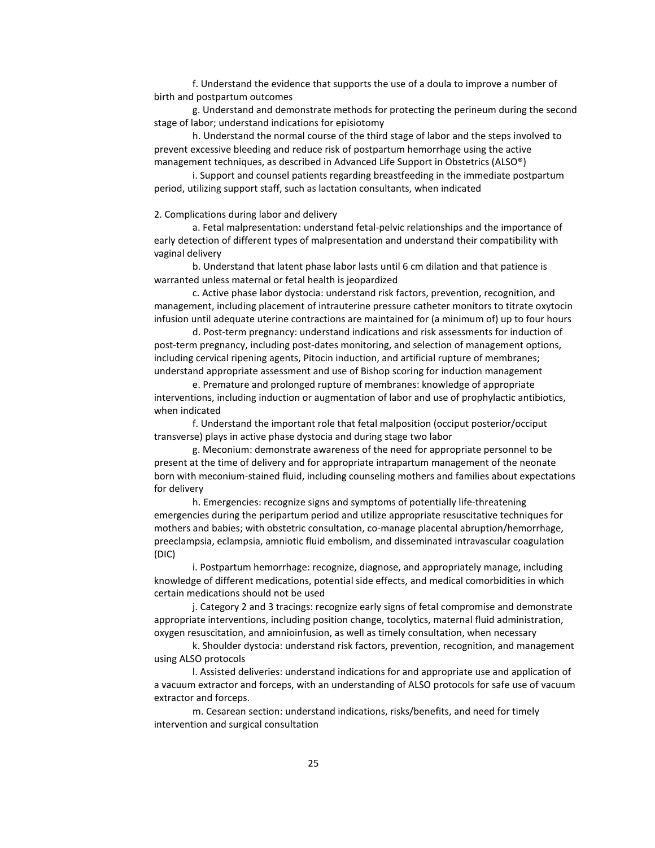f. Understand the evidence that supports the use of a doula to improve a number of birth and postpartum outcomes

g. Understand and demonstrate methods for protecting the perineum during the second stage of labor; understand indications for episiotomy

h. Understand the normal course of the third stage of labor and the steps involved to prevent excessive bleeding and reduce risk of postpartum hemorrhage using the active management techniques, as described in Advanced Life Support in Obstetrics (ALSO®)

i. Support and counsel patients regarding breastfeeding in the immediate postpartum period, utilizing support staff, such as lactation consultants, when indicated

#### 2. Complications during labor and delivery

a. Fetal malpresentation: understand fetal-pelvic relationships and the importance of early detection of different types of malpresentation and understand their compatibility with vaginal delivery

b. Understand that latent phase labor lasts until 6 cm dilation and that patience is warranted unless maternal or fetal health is jeopardized

c. Active phase labor dystocia: understand risk factors, prevention, recognition, and management, including placement of intrauterine pressure catheter monitors to titrate oxytocin infusion until adequate uterine contractions are maintained for (a minimum of) up to four hours

d. Post-term pregnancy: understand indications and risk assessments for induction of post-term pregnancy, including post-dates monitoring, and selection of management options, including cervical ripening agents, Pitocin induction, and artificial rupture of membranes; understand appropriate assessment and use of Bishop scoring for induction management

e. Premature and prolonged rupture of membranes: knowledge of appropriate interventions, including induction or augmentation of labor and use of prophylactic antibiotics, when indicated

f. Understand the important role that fetal malposition (occiput posterior/occiput transverse) plays in active phase dystocia and during stage two labor

g. Meconium: demonstrate awareness of the need for appropriate personnel to be present at the time of delivery and for appropriate intrapartum management of the neonate born with meconium-stained fluid, including counseling mothers and families about expectations for delivery

h. Emergencies: recognize signs and symptoms of potentially life-threatening emergencies during the peripartum period and utilize appropriate resuscitative techniques for mothers and babies; with obstetric consultation, co-manage placental abruption/hemorrhage, preeclampsia, eclampsia, amniotic fluid embolism, and disseminated intravascular coagulation (DIC)

i. Postpartum hemorrhage: recognize, diagnose, and appropriately manage, including knowledge of different medications, potential side effects, and medical comorbidities in which certain medications should not be used

j. Category 2 and 3 tracings: recognize early signs of fetal compromise and demonstrate appropriate interventions, including position change, tocolytics, maternal fluid administration, oxygen resuscitation, and amnioinfusion, as well as timely consultation, when necessary

k. Shoulder dystocia: understand risk factors, prevention, recognition, and management using ALSO protocols

l. Assisted deliveries: understand indications for and appropriate use and application of a vacuum extractor and forceps, with an understanding of ALSO protocols for safe use of vacuum extractor and forceps.

m. Cesarean section: understand indications, risks/benefits, and need for timely intervention and surgical consultation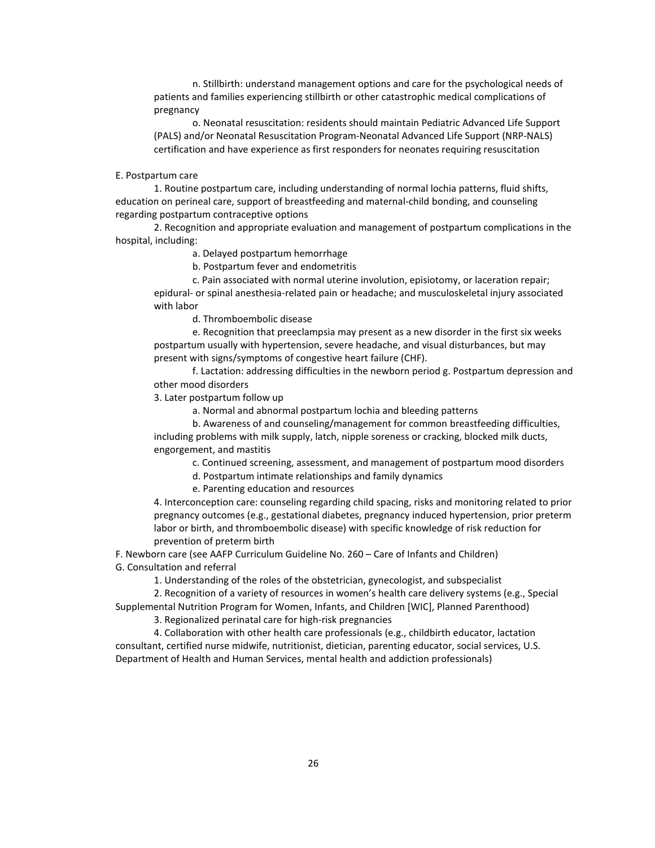n. Stillbirth: understand management options and care for the psychological needs of patients and families experiencing stillbirth or other catastrophic medical complications of pregnancy

o. Neonatal resuscitation: residents should maintain Pediatric Advanced Life Support (PALS) and/or Neonatal Resuscitation Program-Neonatal Advanced Life Support (NRP-NALS) certification and have experience as first responders for neonates requiring resuscitation

#### E. Postpartum care

1. Routine postpartum care, including understanding of normal lochia patterns, fluid shifts, education on perineal care, support of breastfeeding and maternal-child bonding, and counseling regarding postpartum contraceptive options

2. Recognition and appropriate evaluation and management of postpartum complications in the hospital, including:

a. Delayed postpartum hemorrhage

b. Postpartum fever and endometritis

c. Pain associated with normal uterine involution, episiotomy, or laceration repair; epidural- or spinal anesthesia-related pain or headache; and musculoskeletal injury associated with labor

d. Thromboembolic disease

e. Recognition that preeclampsia may present as a new disorder in the first six weeks postpartum usually with hypertension, severe headache, and visual disturbances, but may present with signs/symptoms of congestive heart failure (CHF).

f. Lactation: addressing difficulties in the newborn period g. Postpartum depression and other mood disorders

3. Later postpartum follow up

a. Normal and abnormal postpartum lochia and bleeding patterns

b. Awareness of and counseling/management for common breastfeeding difficulties, including problems with milk supply, latch, nipple soreness or cracking, blocked milk ducts, engorgement, and mastitis

c. Continued screening, assessment, and management of postpartum mood disorders

d. Postpartum intimate relationships and family dynamics

e. Parenting education and resources

4. Interconception care: counseling regarding child spacing, risks and monitoring related to prior pregnancy outcomes (e.g., gestational diabetes, pregnancy induced hypertension, prior preterm labor or birth, and thromboembolic disease) with specific knowledge of risk reduction for prevention of preterm birth

F. Newborn care (see AAFP Curriculum Guideline No. 260 – Care of Infants and Children) G. Consultation and referral

1. Understanding of the roles of the obstetrician, gynecologist, and subspecialist

2. Recognition of a variety of resources in women's health care delivery systems (e.g., Special

Supplemental Nutrition Program for Women, Infants, and Children [WIC], Planned Parenthood) 3. Regionalized perinatal care for high-risk pregnancies

4. Collaboration with other health care professionals (e.g., childbirth educator, lactation consultant, certified nurse midwife, nutritionist, dietician, parenting educator, social services, U.S. Department of Health and Human Services, mental health and addiction professionals)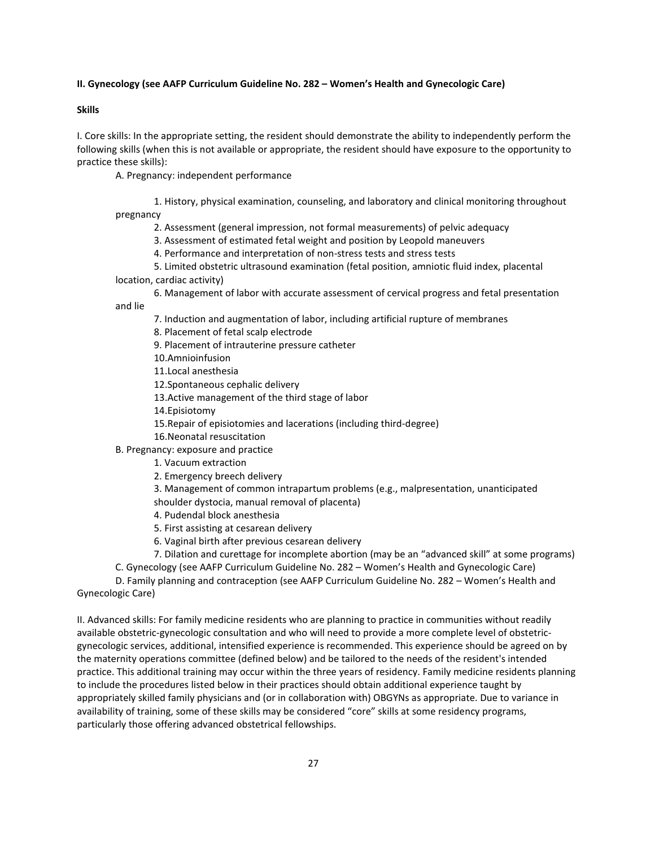#### **II. Gynecology (see AAFP Curriculum Guideline No. 282 – Women's Health and Gynecologic Care)**

#### **Skills**

I. Core skills: In the appropriate setting, the resident should demonstrate the ability to independently perform the following skills (when this is not available or appropriate, the resident should have exposure to the opportunity to practice these skills):

A. Pregnancy: independent performance

1. History, physical examination, counseling, and laboratory and clinical monitoring throughout pregnancy

- 2. Assessment (general impression, not formal measurements) of pelvic adequacy
- 3. Assessment of estimated fetal weight and position by Leopold maneuvers
- 4. Performance and interpretation of non-stress tests and stress tests
- 5. Limited obstetric ultrasound examination (fetal position, amniotic fluid index, placental
- location, cardiac activity)

6. Management of labor with accurate assessment of cervical progress and fetal presentation

and lie

- 7. Induction and augmentation of labor, including artificial rupture of membranes
- 8. Placement of fetal scalp electrode
- 9. Placement of intrauterine pressure catheter
- 10.Amnioinfusion
- 11.Local anesthesia
- 12.Spontaneous cephalic delivery
- 13.Active management of the third stage of labor
- 14.Episiotomy
- 15.Repair of episiotomies and lacerations (including third-degree)
- 16.Neonatal resuscitation
- B. Pregnancy: exposure and practice
	- 1. Vacuum extraction
	- 2. Emergency breech delivery

3. Management of common intrapartum problems (e.g., malpresentation, unanticipated shoulder dystocia, manual removal of placenta)

- 4. Pudendal block anesthesia
- 5. First assisting at cesarean delivery
- 6. Vaginal birth after previous cesarean delivery
- 7. Dilation and curettage for incomplete abortion (may be an "advanced skill" at some programs)
- C. Gynecology (see AAFP Curriculum Guideline No. 282 Women's Health and Gynecologic Care)

D. Family planning and contraception (see AAFP Curriculum Guideline No. 282 – Women's Health and Gynecologic Care)

II. Advanced skills: For family medicine residents who are planning to practice in communities without readily available obstetric-gynecologic consultation and who will need to provide a more complete level of obstetricgynecologic services, additional, intensified experience is recommended. This experience should be agreed on by the maternity operations committee (defined below) and be tailored to the needs of the resident's intended practice. This additional training may occur within the three years of residency. Family medicine residents planning to include the procedures listed below in their practices should obtain additional experience taught by appropriately skilled family physicians and (or in collaboration with) OBGYNs as appropriate. Due to variance in availability of training, some of these skills may be considered "core" skills at some residency programs, particularly those offering advanced obstetrical fellowships.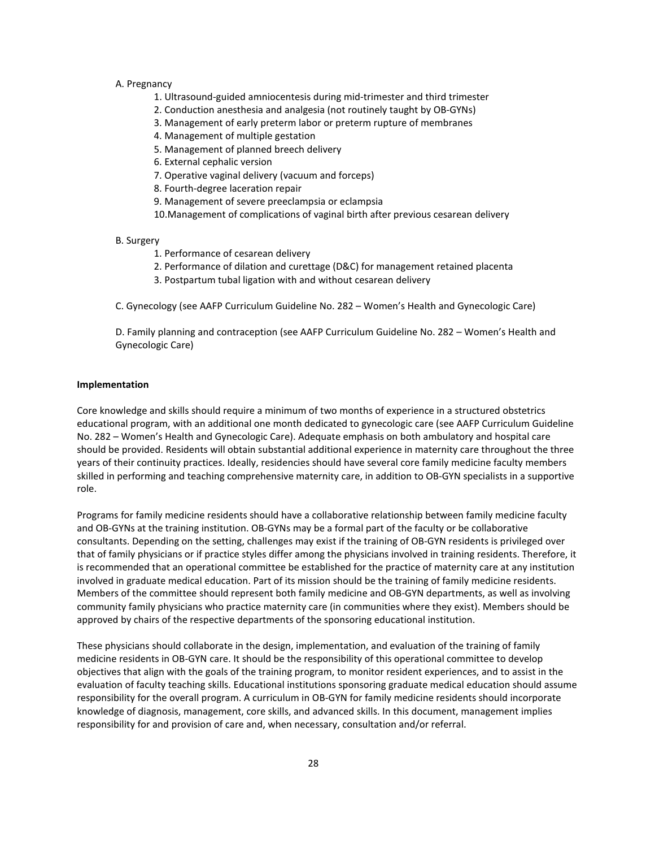#### A. Pregnancy

- 1. Ultrasound-guided amniocentesis during mid-trimester and third trimester
- 2. Conduction anesthesia and analgesia (not routinely taught by OB-GYNs)
- 3. Management of early preterm labor or preterm rupture of membranes
- 4. Management of multiple gestation
- 5. Management of planned breech delivery
- 6. External cephalic version
- 7. Operative vaginal delivery (vacuum and forceps)
- 8. Fourth-degree laceration repair
- 9. Management of severe preeclampsia or eclampsia
- 10.Management of complications of vaginal birth after previous cesarean delivery

#### B. Surgery

- 1. Performance of cesarean delivery
- 2. Performance of dilation and curettage (D&C) for management retained placenta
- 3. Postpartum tubal ligation with and without cesarean delivery

C. Gynecology (see AAFP Curriculum Guideline No. 282 – Women's Health and Gynecologic Care)

D. Family planning and contraception (see AAFP Curriculum Guideline No. 282 – Women's Health and Gynecologic Care)

#### **Implementation**

Core knowledge and skills should require a minimum of two months of experience in a structured obstetrics educational program, with an additional one month dedicated to gynecologic care (see AAFP Curriculum Guideline No. 282 – Women's Health and Gynecologic Care). Adequate emphasis on both ambulatory and hospital care should be provided. Residents will obtain substantial additional experience in maternity care throughout the three years of their continuity practices. Ideally, residencies should have several core family medicine faculty members skilled in performing and teaching comprehensive maternity care, in addition to OB-GYN specialists in a supportive role.

Programs for family medicine residents should have a collaborative relationship between family medicine faculty and OB-GYNs at the training institution. OB-GYNs may be a formal part of the faculty or be collaborative consultants. Depending on the setting, challenges may exist if the training of OB-GYN residents is privileged over that of family physicians or if practice styles differ among the physicians involved in training residents. Therefore, it is recommended that an operational committee be established for the practice of maternity care at any institution involved in graduate medical education. Part of its mission should be the training of family medicine residents. Members of the committee should represent both family medicine and OB-GYN departments, as well as involving community family physicians who practice maternity care (in communities where they exist). Members should be approved by chairs of the respective departments of the sponsoring educational institution.

These physicians should collaborate in the design, implementation, and evaluation of the training of family medicine residents in OB-GYN care. It should be the responsibility of this operational committee to develop objectives that align with the goals of the training program, to monitor resident experiences, and to assist in the evaluation of faculty teaching skills. Educational institutions sponsoring graduate medical education should assume responsibility for the overall program. A curriculum in OB-GYN for family medicine residents should incorporate knowledge of diagnosis, management, core skills, and advanced skills. In this document, management implies responsibility for and provision of care and, when necessary, consultation and/or referral.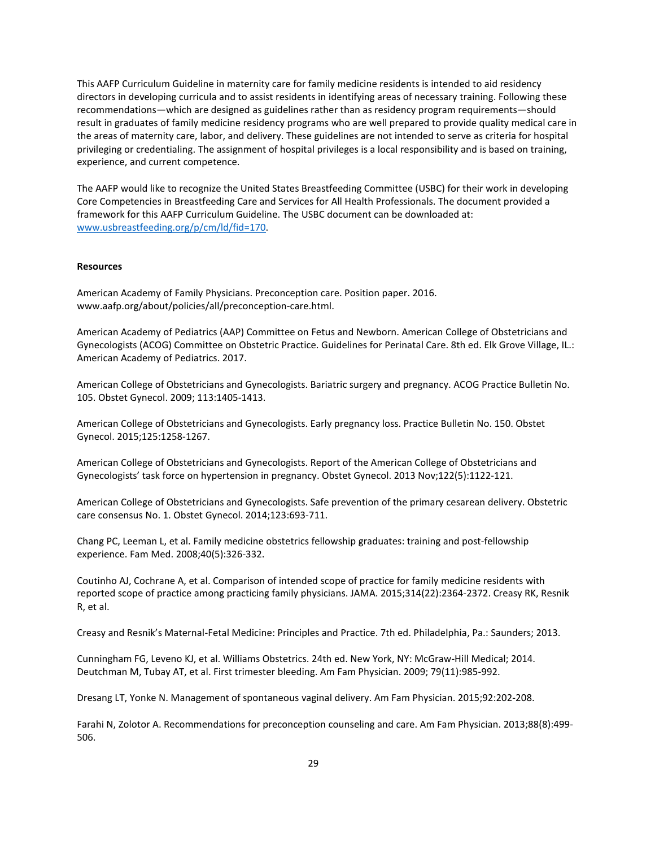This AAFP Curriculum Guideline in maternity care for family medicine residents is intended to aid residency directors in developing curricula and to assist residents in identifying areas of necessary training. Following these recommendations—which are designed as guidelines rather than as residency program requirements—should result in graduates of family medicine residency programs who are well prepared to provide quality medical care in the areas of maternity care, labor, and delivery. These guidelines are not intended to serve as criteria for hospital privileging or credentialing. The assignment of hospital privileges is a local responsibility and is based on training, experience, and current competence.

The AAFP would like to recognize the United States Breastfeeding Committee (USBC) for their work in developing Core Competencies in Breastfeeding Care and Services for All Health Professionals. The document provided a framework for this AAFP Curriculum Guideline. The USBC document can be downloaded at: [www.usbreastfeeding.org/p/cm/ld/fid=170.](http://www.usbreastfeeding.org/p/cm/ld/fid=170)

#### **Resources**

American Academy of Family Physicians. Preconception care. Position paper. 2016. www.aafp.org/about/policies/all/preconception-care.html.

American Academy of Pediatrics (AAP) Committee on Fetus and Newborn. American College of Obstetricians and Gynecologists (ACOG) Committee on Obstetric Practice. Guidelines for Perinatal Care. 8th ed. Elk Grove Village, IL.: American Academy of Pediatrics. 2017.

American College of Obstetricians and Gynecologists. Bariatric surgery and pregnancy. ACOG Practice Bulletin No. 105. Obstet Gynecol. 2009; 113:1405-1413.

American College of Obstetricians and Gynecologists. Early pregnancy loss. Practice Bulletin No. 150. Obstet Gynecol. 2015;125:1258-1267.

American College of Obstetricians and Gynecologists. Report of the American College of Obstetricians and Gynecologists' task force on hypertension in pregnancy. Obstet Gynecol. 2013 Nov;122(5):1122-121.

American College of Obstetricians and Gynecologists. Safe prevention of the primary cesarean delivery. Obstetric care consensus No. 1. Obstet Gynecol. 2014;123:693-711.

Chang PC, Leeman L, et al. Family medicine obstetrics fellowship graduates: training and post-fellowship experience. Fam Med. 2008;40(5):326-332.

Coutinho AJ, Cochrane A, et al. Comparison of intended scope of practice for family medicine residents with reported scope of practice among practicing family physicians. JAMA. 2015;314(22):2364-2372. Creasy RK, Resnik R, et al.

Creasy and Resnik's Maternal-Fetal Medicine: Principles and Practice. 7th ed. Philadelphia, Pa.: Saunders; 2013.

Cunningham FG, Leveno KJ, et al. Williams Obstetrics. 24th ed. New York, NY: McGraw-Hill Medical; 2014. Deutchman M, Tubay AT, et al. First trimester bleeding. Am Fam Physician. 2009; 79(11):985-992.

Dresang LT, Yonke N. Management of spontaneous vaginal delivery. Am Fam Physician. 2015;92:202-208.

Farahi N, Zolotor A. Recommendations for preconception counseling and care. Am Fam Physician. 2013;88(8):499- 506.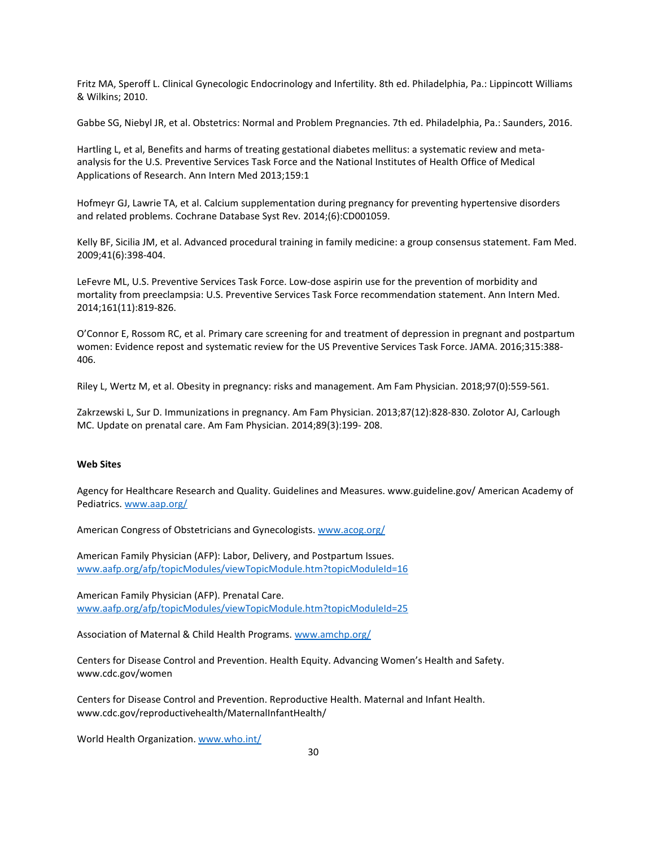Fritz MA, Speroff L. Clinical Gynecologic Endocrinology and Infertility. 8th ed. Philadelphia, Pa.: Lippincott Williams & Wilkins; 2010.

Gabbe SG, Niebyl JR, et al. Obstetrics: Normal and Problem Pregnancies. 7th ed. Philadelphia, Pa.: Saunders, 2016.

Hartling L, et al, Benefits and harms of treating gestational diabetes mellitus: a systematic review and metaanalysis for the U.S. Preventive Services Task Force and the National Institutes of Health Office of Medical Applications of Research. Ann Intern Med 2013;159:1

Hofmeyr GJ, Lawrie TA, et al. Calcium supplementation during pregnancy for preventing hypertensive disorders and related problems. Cochrane Database Syst Rev. 2014;(6):CD001059.

Kelly BF, Sicilia JM, et al. Advanced procedural training in family medicine: a group consensus statement. Fam Med. 2009;41(6):398-404.

LeFevre ML, U.S. Preventive Services Task Force. Low-dose aspirin use for the prevention of morbidity and mortality from preeclampsia: U.S. Preventive Services Task Force recommendation statement. Ann Intern Med. 2014;161(11):819-826.

O'Connor E, Rossom RC, et al. Primary care screening for and treatment of depression in pregnant and postpartum women: Evidence repost and systematic review for the US Preventive Services Task Force. JAMA. 2016;315:388- 406.

Riley L, Wertz M, et al. Obesity in pregnancy: risks and management. Am Fam Physician. 2018;97(0):559-561.

Zakrzewski L, Sur D. Immunizations in pregnancy. Am Fam Physician. 2013;87(12):828-830. Zolotor AJ, Carlough MC. Update on prenatal care. Am Fam Physician. 2014;89(3):199- 208.

#### **Web Sites**

Agency for Healthcare Research and Quality. Guidelines and Measures. www.guideline.gov/ American Academy of Pediatrics[. www.aap.org/](http://www.aap.org/)

American Congress of Obstetricians and Gynecologists. [www.acog.org/](http://www.acog.org/)

American Family Physician (AFP): Labor, Delivery, and Postpartum Issues. [www.aafp.org/afp/topicModules/viewTopicModule.htm?topicModuleId=16](http://www.aafp.org/afp/topicModules/viewTopicModule.htm?topicModuleId=16)

American Family Physician (AFP). Prenatal Care. [www.aafp.org/afp/topicModules/viewTopicModule.htm?topicModuleId=25](http://www.aafp.org/afp/topicModules/viewTopicModule.htm?topicModuleId=25)

Association of Maternal & Child Health Programs[. www.amchp.org/](http://www.amchp.org/)

Centers for Disease Control and Prevention. Health Equity. Advancing Women's Health and Safety. www.cdc.gov/women

Centers for Disease Control and Prevention. Reproductive Health. Maternal and Infant Health. www.cdc.gov/reproductivehealth/MaternalInfantHealth/

World Health Organization[. www.who.int/](http://www.who.int/)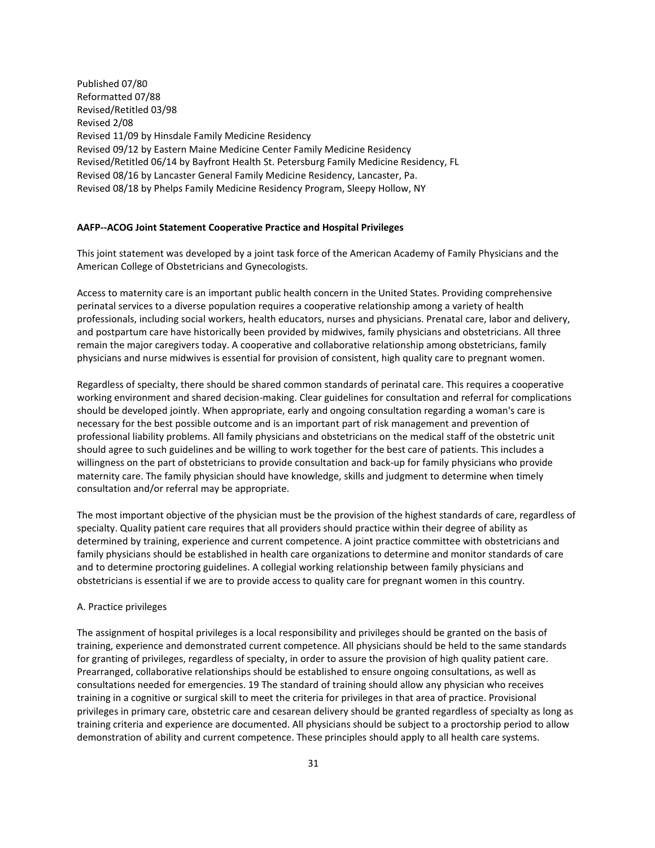Published 07/80 Reformatted 07/88 Revised/Retitled 03/98 Revised 2/08 Revised 11/09 by Hinsdale Family Medicine Residency Revised 09/12 by Eastern Maine Medicine Center Family Medicine Residency Revised/Retitled 06/14 by Bayfront Health St. Petersburg Family Medicine Residency, FL Revised 08/16 by Lancaster General Family Medicine Residency, Lancaster, Pa. Revised 08/18 by Phelps Family Medicine Residency Program, Sleepy Hollow, NY

#### **AAFP--ACOG Joint Statement Cooperative Practice and Hospital Privileges**

This joint statement was developed by a joint task force of the American Academy of Family Physicians and the American College of Obstetricians and Gynecologists.

Access to maternity care is an important public health concern in the United States. Providing comprehensive perinatal services to a diverse population requires a cooperative relationship among a variety of health professionals, including social workers, health educators, nurses and physicians. Prenatal care, labor and delivery, and postpartum care have historically been provided by midwives, family physicians and obstetricians. All three remain the major caregivers today. A cooperative and collaborative relationship among obstetricians, family physicians and nurse midwives is essential for provision of consistent, high quality care to pregnant women.

Regardless of specialty, there should be shared common standards of perinatal care. This requires a cooperative working environment and shared decision-making. Clear guidelines for consultation and referral for complications should be developed jointly. When appropriate, early and ongoing consultation regarding a woman's care is necessary for the best possible outcome and is an important part of risk management and prevention of professional liability problems. All family physicians and obstetricians on the medical staff of the obstetric unit should agree to such guidelines and be willing to work together for the best care of patients. This includes a willingness on the part of obstetricians to provide consultation and back-up for family physicians who provide maternity care. The family physician should have knowledge, skills and judgment to determine when timely consultation and/or referral may be appropriate.

The most important objective of the physician must be the provision of the highest standards of care, regardless of specialty. Quality patient care requires that all providers should practice within their degree of ability as determined by training, experience and current competence. A joint practice committee with obstetricians and family physicians should be established in health care organizations to determine and monitor standards of care and to determine proctoring guidelines. A collegial working relationship between family physicians and obstetricians is essential if we are to provide access to quality care for pregnant women in this country.

#### A. Practice privileges

The assignment of hospital privileges is a local responsibility and privileges should be granted on the basis of training, experience and demonstrated current competence. All physicians should be held to the same standards for granting of privileges, regardless of specialty, in order to assure the provision of high quality patient care. Prearranged, collaborative relationships should be established to ensure ongoing consultations, as well as consultations needed for emergencies. 19 The standard of training should allow any physician who receives training in a cognitive or surgical skill to meet the criteria for privileges in that area of practice. Provisional privileges in primary care, obstetric care and cesarean delivery should be granted regardless of specialty as long as training criteria and experience are documented. All physicians should be subject to a proctorship period to allow demonstration of ability and current competence. These principles should apply to all health care systems.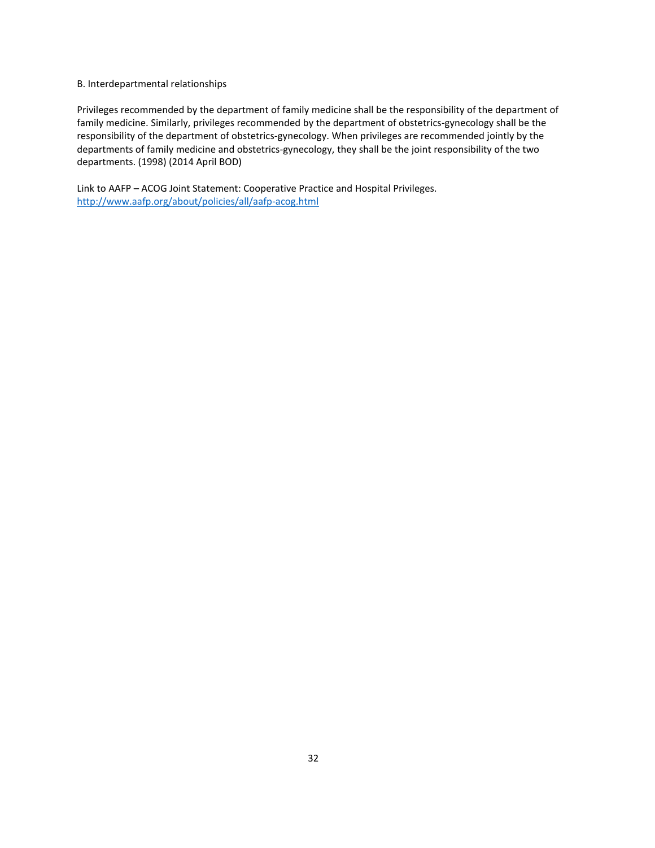#### B. Interdepartmental relationships

Privileges recommended by the department of family medicine shall be the responsibility of the department of family medicine. Similarly, privileges recommended by the department of obstetrics-gynecology shall be the responsibility of the department of obstetrics-gynecology. When privileges are recommended jointly by the departments of family medicine and obstetrics-gynecology, they shall be the joint responsibility of the two departments. (1998) (2014 April BOD)

Link to AAFP – ACOG Joint Statement: Cooperative Practice and Hospital Privileges. <http://www.aafp.org/about/policies/all/aafp-acog.html>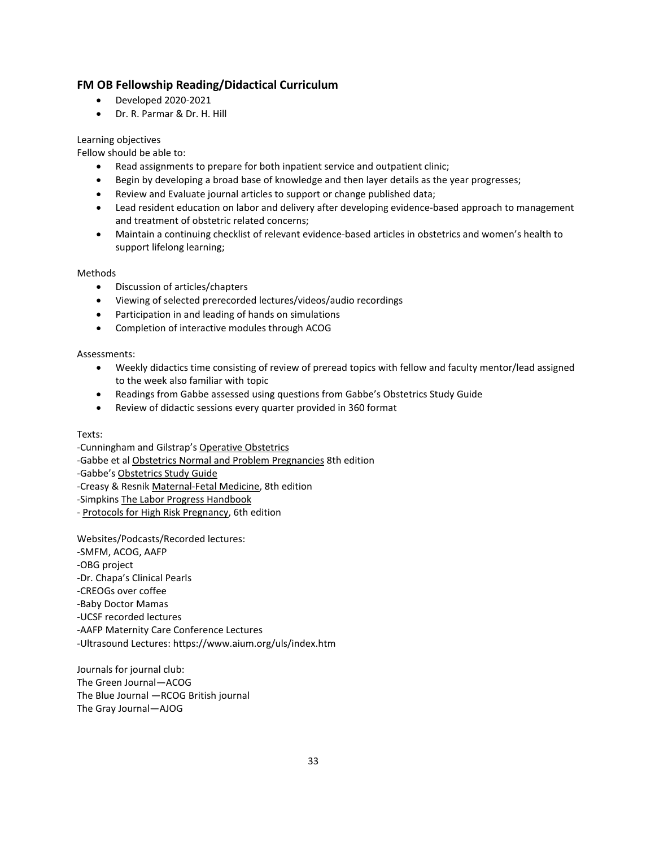### **FM OB Fellowship Reading/Didactical Curriculum**

- Developed 2020-2021
- Dr. R. Parmar & Dr. H. Hill

#### Learning objectives

Fellow should be able to:

- Read assignments to prepare for both inpatient service and outpatient clinic;
- Begin by developing a broad base of knowledge and then layer details as the year progresses;
- Review and Evaluate journal articles to support or change published data;
- Lead resident education on labor and delivery after developing evidence-based approach to management and treatment of obstetric related concerns;
- Maintain a continuing checklist of relevant evidence-based articles in obstetrics and women's health to support lifelong learning;

#### Methods

- Discussion of articles/chapters
- Viewing of selected prerecorded lectures/videos/audio recordings
- Participation in and leading of hands on simulations
- Completion of interactive modules through ACOG

Assessments:

- Weekly didactics time consisting of review of preread topics with fellow and faculty mentor/lead assigned to the week also familiar with topic
- Readings from Gabbe assessed using questions from Gabbe's Obstetrics Study Guide
- Review of didactic sessions every quarter provided in 360 format

#### Texts:

-Cunningham and Gilstrap's Operative Obstetrics -Gabbe et al Obstetrics Normal and Problem Pregnancies 8th edition -Gabbe's Obstetrics Study Guide -Creasy & Resnik Maternal-Fetal Medicine, 8th edition -Simpkins The Labor Progress Handbook - Protocols for High Risk Pregnancy, 6th edition

Websites/Podcasts/Recorded lectures: -SMFM, ACOG, AAFP -OBG project -Dr. Chapa's Clinical Pearls -CREOGs over coffee -Baby Doctor Mamas -UCSF recorded lectures -AAFP Maternity Care Conference Lectures -Ultrasound Lectures: https://www.aium.org/uls/index.htm

Journals for journal club: The Green Journal—ACOG The Blue Journal —RCOG British journal The Gray Journal—AJOG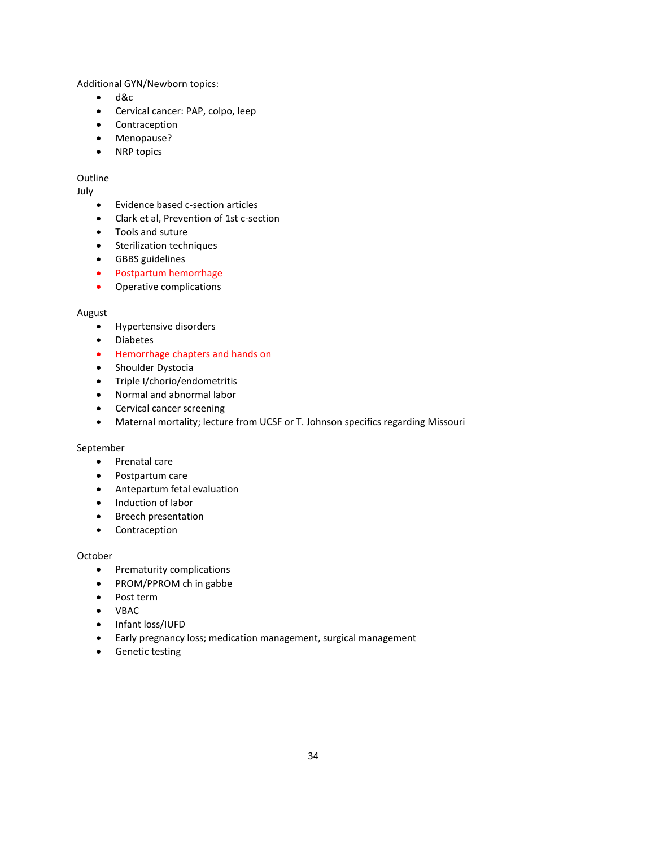Additional GYN/Newborn topics:

- d&c
- Cervical cancer: PAP, colpo, leep
- Contraception
- Menopause?
- NRP topics

#### Outline

#### July

- Evidence based c-section articles
- Clark et al, Prevention of 1st c-section
- Tools and suture
- Sterilization techniques
- GBBS guidelines
- Postpartum hemorrhage
- Operative complications

#### August

- Hypertensive disorders
- Diabetes
- Hemorrhage chapters and hands on
- Shoulder Dystocia
- Triple I/chorio/endometritis
- Normal and abnormal labor
- Cervical cancer screening
- Maternal mortality; lecture from UCSF or T. Johnson specifics regarding Missouri

#### September

- Prenatal care
- Postpartum care
- Antepartum fetal evaluation
- Induction of labor
- Breech presentation
- Contraception

#### October

- Prematurity complications
- PROM/PPROM ch in gabbe
- Post term
- VBAC
- Infant loss/IUFD
- Early pregnancy loss; medication management, surgical management
- Genetic testing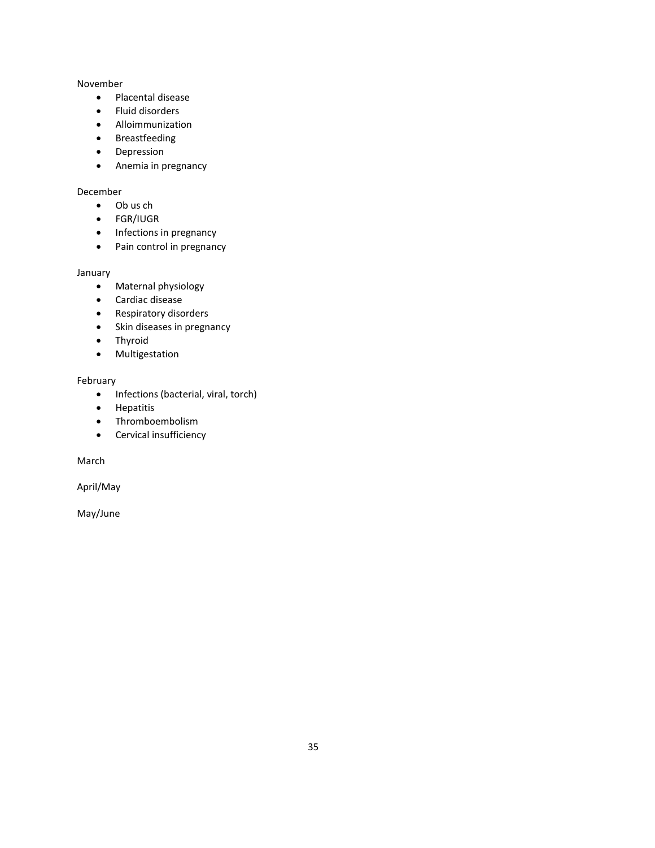#### November

- Placental disease
- Fluid disorders
- Alloimmunization
- Breastfeeding
- Depression
- Anemia in pregnancy

### December

- Ob us ch
- FGR/IUGR
- Infections in pregnancy
- Pain control in pregnancy

#### January

- Maternal physiology
- Cardiac disease
- Respiratory disorders
- Skin diseases in pregnancy
- Thyroid
- Multigestation

#### February

- Infections (bacterial, viral, torch)
- Hepatitis
- Thromboembolism
- Cervical insufficiency

March

April/May

May/June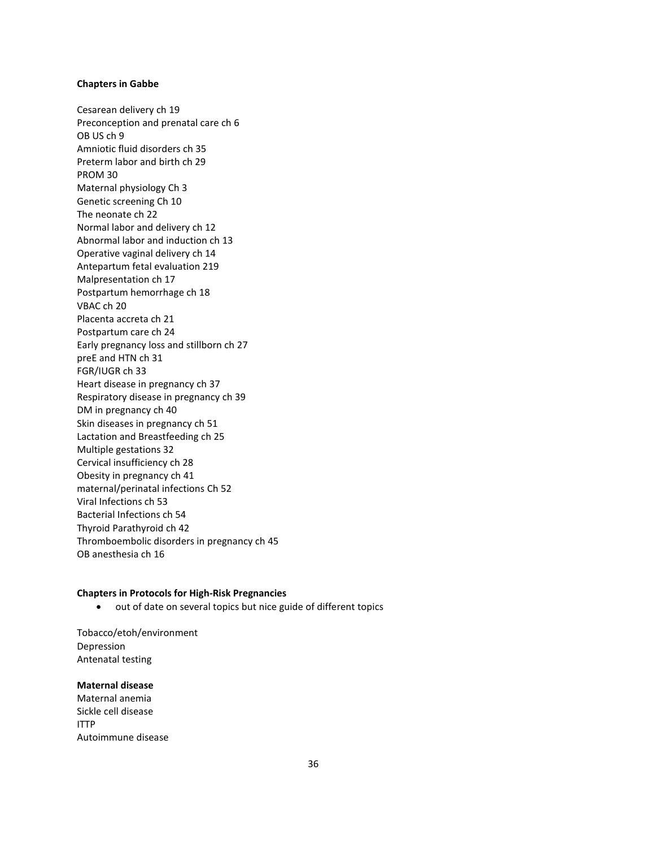#### **Chapters in Gabbe**

Cesarean delivery ch 19 Preconception and prenatal care ch 6 OB US ch 9 Amniotic fluid disorders ch 35 Preterm labor and birth ch 29 PROM 30 Maternal physiology Ch 3 Genetic screening Ch 10 The neonate ch 22 Normal labor and delivery ch 12 Abnormal labor and induction ch 13 Operative vaginal delivery ch 14 Antepartum fetal evaluation 219 Malpresentation ch 17 Postpartum hemorrhage ch 18 VBAC ch 20 Placenta accreta ch 21 Postpartum care ch 24 Early pregnancy loss and stillborn ch 27 preE and HTN ch 31 FGR/IUGR ch 33 Heart disease in pregnancy ch 37 Respiratory disease in pregnancy ch 39 DM in pregnancy ch 40 Skin diseases in pregnancy ch 51 Lactation and Breastfeeding ch 25 Multiple gestations 32 Cervical insufficiency ch 28 Obesity in pregnancy ch 41 maternal/perinatal infections Ch 52 Viral Infections ch 53 Bacterial Infections ch 54 Thyroid Parathyroid ch 42 Thromboembolic disorders in pregnancy ch 45 OB anesthesia ch 16

#### **Chapters in Protocols for High-Risk Pregnancies**

• out of date on several topics but nice guide of different topics

Tobacco/etoh/environment Depression Antenatal testing

#### **Maternal disease**

Maternal anemia Sickle cell disease ITTP Autoimmune disease